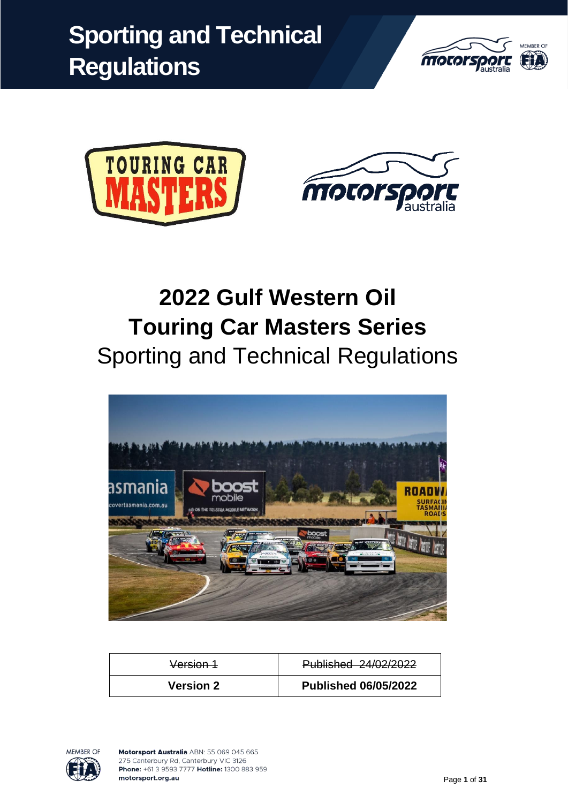





# **2022 Gulf Western Oil Touring Car Masters Series** Sporting and Technical Regulations



| Version 1        | Published 24/02/2022        |  |
|------------------|-----------------------------|--|
| <b>Version 2</b> | <b>Published 06/05/2022</b> |  |

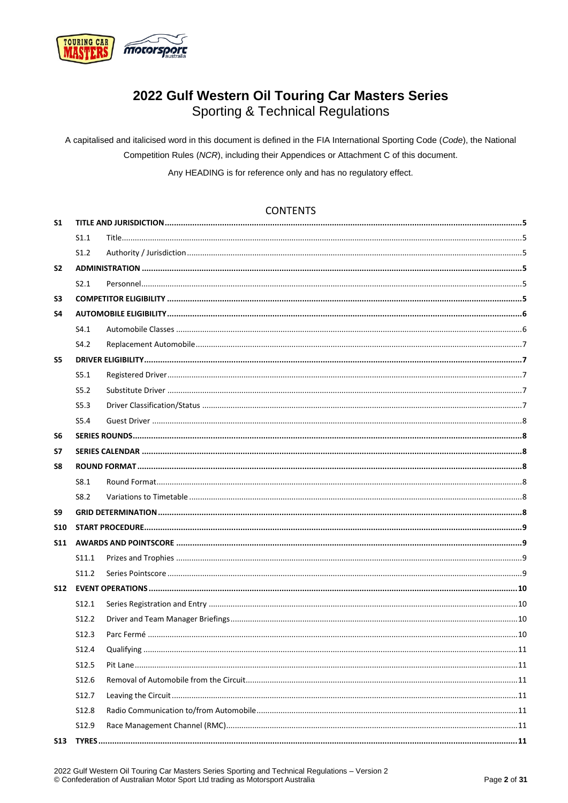

## 2022 Gulf Western Oil Touring Car Masters Series **Sporting & Technical Regulations**

A capitalised and italicised word in this document is defined in the FIA International Sporting Code (Code), the National Competition Rules (NCR), including their Appendices or Attachment C of this document.

Any HEADING is for reference only and has no regulatory effect.

### **CONTENTS**

| S <sub>1</sub> |                   |  |
|----------------|-------------------|--|
|                | S1.1              |  |
|                | S1.2              |  |
| S <sub>2</sub> |                   |  |
|                | S2.1              |  |
| S <sub>3</sub> |                   |  |
| S4             |                   |  |
|                | S4.1              |  |
|                | S4.2              |  |
| S5             |                   |  |
|                | S5.1              |  |
|                | S5.2              |  |
|                | S5.3              |  |
|                | S5.4              |  |
| S <sub>6</sub> |                   |  |
| S7             |                   |  |
| S8             |                   |  |
|                | S8.1              |  |
|                | S8.2              |  |
| S9             |                   |  |
| <b>S10</b>     |                   |  |
| S11            |                   |  |
|                | S <sub>11.1</sub> |  |
|                | S <sub>11.2</sub> |  |
| <b>S12</b>     |                   |  |
|                | S <sub>12.1</sub> |  |
|                | S <sub>12.2</sub> |  |
|                | S12.3             |  |
|                | S12.4             |  |
|                | S12.5             |  |
|                | S12.6             |  |
|                | S12.7             |  |
|                | S12.8             |  |
|                | S12.9             |  |
| S13            |                   |  |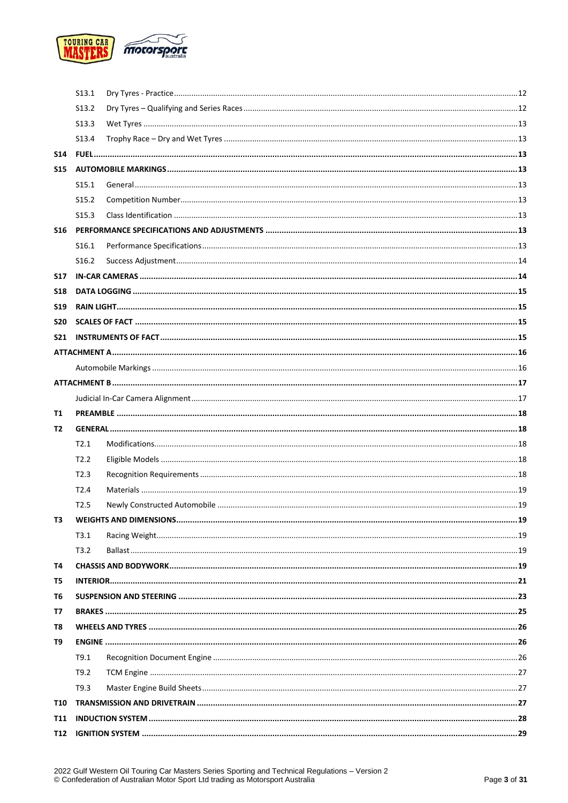

|                 | S <sub>13.1</sub> |  |
|-----------------|-------------------|--|
|                 | S <sub>13.2</sub> |  |
|                 | S <sub>13.3</sub> |  |
|                 | S <sub>13.4</sub> |  |
| <b>S14</b>      |                   |  |
| <b>S15</b>      |                   |  |
|                 | S <sub>15.1</sub> |  |
|                 | S <sub>15.2</sub> |  |
|                 | S <sub>15.3</sub> |  |
| <b>S16</b>      |                   |  |
|                 | S <sub>16.1</sub> |  |
|                 | S <sub>16.2</sub> |  |
| <b>S17</b>      |                   |  |
| <b>S18</b>      |                   |  |
| <b>S19</b>      |                   |  |
| <b>S20</b>      |                   |  |
| S <sub>21</sub> |                   |  |
|                 |                   |  |
|                 |                   |  |
|                 |                   |  |
|                 |                   |  |
| Т1              |                   |  |
| T2              |                   |  |
|                 | T2.1              |  |
|                 | T2.2              |  |
|                 | T2.3              |  |
|                 | T2.4              |  |
|                 | T <sub>2.5</sub>  |  |
| T3              |                   |  |
|                 | T3.1              |  |
|                 | T3.2              |  |
| Τ4              |                   |  |
| T5              |                   |  |
| T6              |                   |  |
| Т7              |                   |  |
| T8              |                   |  |
| T9              |                   |  |
|                 | T9.1              |  |
|                 | T9.2              |  |
|                 | T9.3              |  |
| <b>T10</b>      |                   |  |
| <b>T11</b>      |                   |  |
| T12             |                   |  |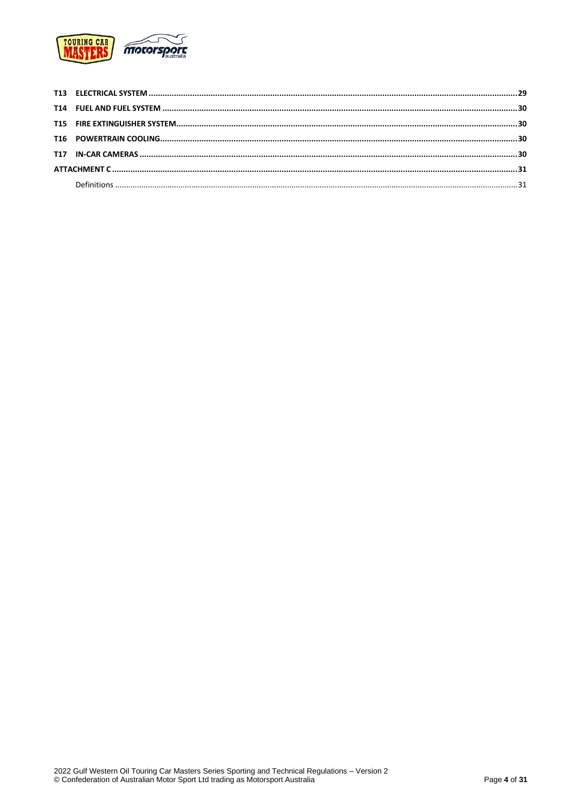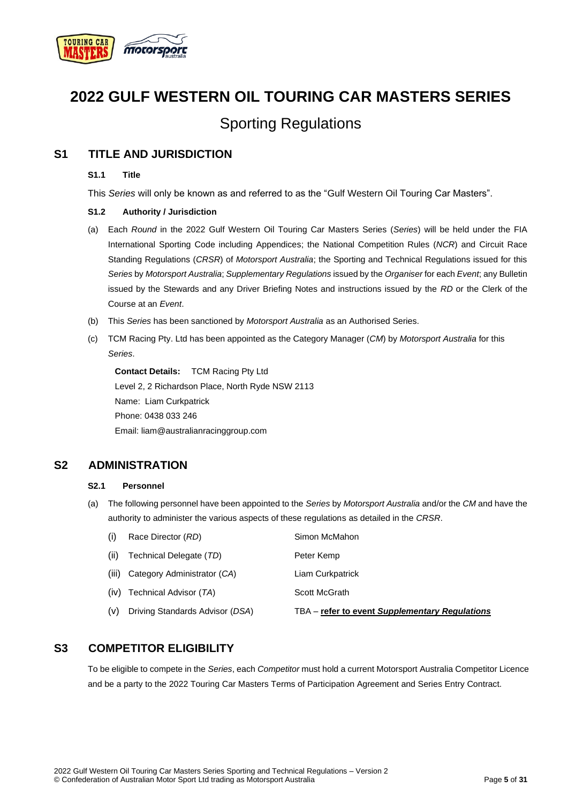

## **2022 GULF WESTERN OIL TOURING CAR MASTERS SERIES**

## Sporting Regulations

## <span id="page-4-1"></span><span id="page-4-0"></span>**S1 TITLE AND JURISDICTION**

#### **S1.1 Title**

This *Series* will only be known as and referred to as the "Gulf Western Oil Touring Car Masters".

#### <span id="page-4-2"></span>**S1.2 Authority / Jurisdiction**

- (a) Each *Round* in the 2022 Gulf Western Oil Touring Car Masters Series (*Series*) will be held under the FIA International Sporting Code including Appendices; the National Competition Rules (*NCR*) and Circuit Race Standing Regulations (*CRSR*) of *Motorsport Australia*; the Sporting and Technical Regulations issued for this *Series* by *Motorsport Australia*; *Supplementary Regulations* issued by the *Organiser* for each *Event*; any Bulletin issued by the Stewards and any Driver Briefing Notes and instructions issued by the *RD* or the Clerk of the Course at an *Event*.
- (b) This *Series* has been sanctioned by *Motorsport Australia* as an Authorised Series.
- (c) TCM Racing Pty. Ltd has been appointed as the Category Manager (*CM*) by *Motorsport Australia* for this *Series*.

**Contact Details:** TCM Racing Pty Ltd Level 2, 2 Richardson Place, North Ryde NSW 2113 Name: Liam Curkpatrick Phone: 0438 033 246 Email: liam@australianracinggroup.com

## <span id="page-4-4"></span><span id="page-4-3"></span>**S2 ADMINISTRATION**

#### **S2.1 Personnel**

(a) The following personnel have been appointed to the *Series* by *Motorsport Australia* and/or the *CM* and have the authority to administer the various aspects of these regulations as detailed in the *CRSR*.

| (i)  | Race Director (RD)                | Simon McMahon                                  |
|------|-----------------------------------|------------------------------------------------|
| (ii) | Technical Delegate (TD)           | Peter Kemp                                     |
|      | (iii) Category Administrator (CA) | Liam Curkpatrick                               |
|      | (iv) Technical Advisor (TA)       | Scott McGrath                                  |
| (v)  | Driving Standards Advisor (DSA)   | TBA – refer to event Supplementary Regulations |

## <span id="page-4-5"></span>**S3 COMPETITOR ELIGIBILITY**

To be eligible to compete in the *Series*, each *Competitor* must hold a current Motorsport Australia Competitor Licence and be a party to the 2022 Touring Car Masters Terms of Participation Agreement and Series Entry Contract.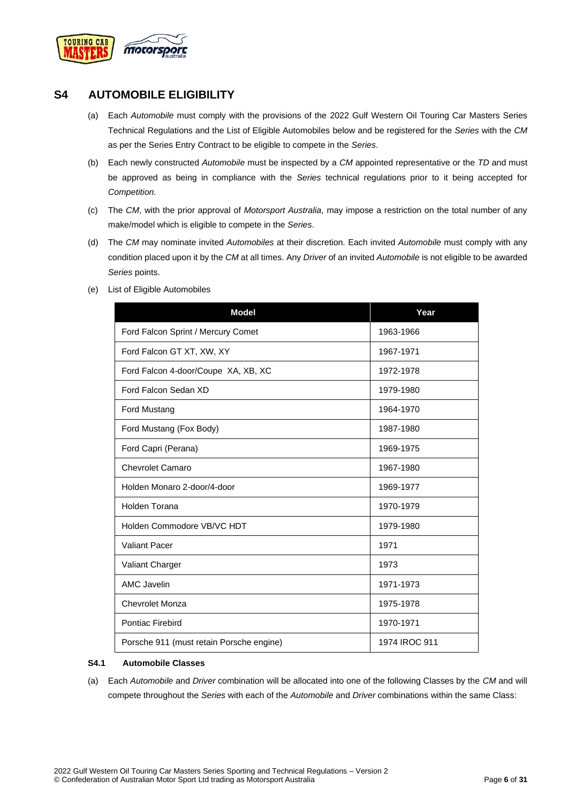

## <span id="page-5-0"></span>**S4 AUTOMOBILE ELIGIBILITY**

- (a) Each *Automobile* must comply with the provisions of the 2022 Gulf Western Oil Touring Car Masters Series Technical Regulations and the List of Eligible Automobiles below and be registered for the *Series* with the *CM* as per the Series Entry Contract to be eligible to compete in the *Series*.
- (b) Each newly constructed *Automobile* must be inspected by a *CM* appointed representative or the *TD* and must be approved as being in compliance with the *Series* technical regulations prior to it being accepted for *Competition.*
- (c) The *CM*, with the prior approval of *Motorsport Australia*, may impose a restriction on the total number of any make/model which is eligible to compete in the *Series*.
- (d) The *CM* may nominate invited *Automobiles* at their discretion. Each invited *Automobile* must comply with any condition placed upon it by the *CM* at all times. Any *Driver* of an invited *Automobile* is not eligible to be awarded *Series* points.
- (e) List of Eligible Automobiles

| <b>Model</b>                             | Year          |
|------------------------------------------|---------------|
| Ford Falcon Sprint / Mercury Comet       | 1963-1966     |
| Ford Falcon GT XT, XW, XY                | 1967-1971     |
| Ford Falcon 4-door/Coupe XA, XB, XC      | 1972-1978     |
| Ford Falcon Sedan XD                     | 1979-1980     |
| Ford Mustang                             | 1964-1970     |
| Ford Mustang (Fox Body)                  | 1987-1980     |
| Ford Capri (Perana)                      | 1969-1975     |
| <b>Chevrolet Camaro</b>                  | 1967-1980     |
| Holden Monaro 2-door/4-door              | 1969-1977     |
| Holden Torana                            | 1970-1979     |
| Holden Commodore VB/VC HDT               | 1979-1980     |
| <b>Valiant Pacer</b>                     | 1971          |
| Valiant Charger                          | 1973          |
| <b>AMC Javelin</b>                       | 1971-1973     |
| <b>Chevrolet Monza</b>                   | 1975-1978     |
| Pontiac Firebird                         | 1970-1971     |
| Porsche 911 (must retain Porsche engine) | 1974 IROC 911 |

#### <span id="page-5-1"></span>**S4.1 Automobile Classes**

(a) Each *Automobile* and *Driver* combination will be allocated into one of the following Classes by the *CM* and will compete throughout the *Series* with each of the *Automobile* and *Driver* combinations within the same Class: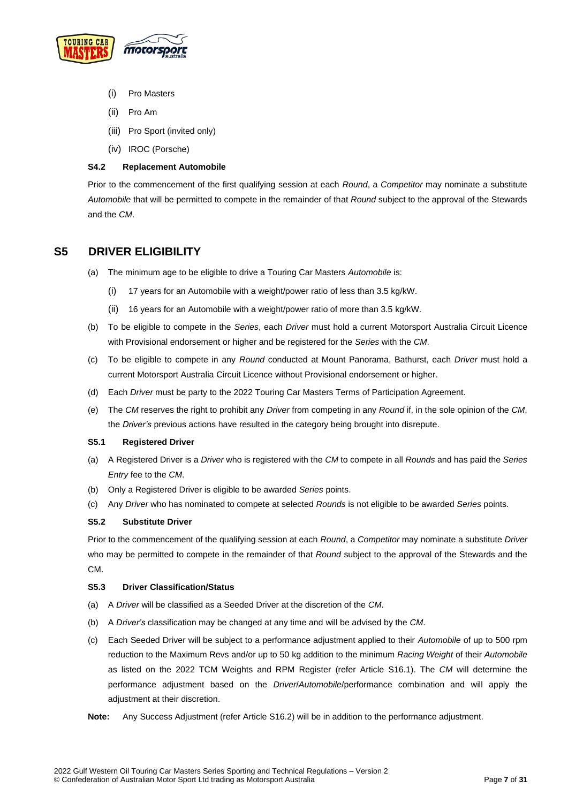

- (i) Pro Masters
- (ii) Pro Am
- (iii) Pro Sport (invited only)
- (iv) IROC (Porsche)

#### <span id="page-6-0"></span>**S4.2 Replacement Automobile**

Prior to the commencement of the first qualifying session at each *Round*, a *Competitor* may nominate a substitute *Automobile* that will be permitted to compete in the remainder of that *Round* subject to the approval of the Stewards and the *CM*.

## <span id="page-6-1"></span>**S5 DRIVER ELIGIBILITY**

- The minimum age to be eligible to drive a Touring Car Masters Automobile is:
	- (i) 17 years for an Automobile with a weight/power ratio of less than 3.5 kg/kW.
	- (ii) 16 years for an Automobile with a weight/power ratio of more than 3.5 kg/kW.
- (b) To be eligible to compete in the *Series*, each *Driver* must hold a current Motorsport Australia Circuit Licence with Provisional endorsement or higher and be registered for the *Series* with the *CM*.
- (c) To be eligible to compete in any *Round* conducted at Mount Panorama, Bathurst, each *Driver* must hold a current Motorsport Australia Circuit Licence without Provisional endorsement or higher.
- (d) Each *Driver* must be party to the 2022 Touring Car Masters Terms of Participation Agreement.
- (e) The *CM* reserves the right to prohibit any *Driver* from competing in any *Round* if, in the sole opinion of the *CM*, the *Driver's* previous actions have resulted in the category being brought into disrepute.

#### <span id="page-6-2"></span>**S5.1 Registered Driver**

- (a) A Registered Driver is a *Driver* who is registered with the *CM* to compete in all *Rounds* and has paid the *Series Entry* fee to the *CM*.
- (b) Only a Registered Driver is eligible to be awarded *Series* points.
- (c) Any *Driver* who has nominated to compete at selected *Rounds* is not eligible to be awarded *Series* points.

#### <span id="page-6-3"></span>**S5.2 Substitute Driver**

Prior to the commencement of the qualifying session at each *Round*, a *Competitor* may nominate a substitute *Driver* who may be permitted to compete in the remainder of that *Round* subject to the approval of the Stewards and the CM.

#### <span id="page-6-4"></span>**S5.3 Driver Classification/Status**

- (a) A *Driver* will be classified as a Seeded Driver at the discretion of the *CM*.
- (b) A *Driver's* classification may be changed at any time and will be advised by the *CM*.
- (c) Each Seeded Driver will be subject to a performance adjustment applied to their *Automobile* of up to 500 rpm reduction to the Maximum Revs and/or up to 50 kg addition to the minimum *Racing Weight* of their *Automobile* as listed on the 2022 TCM Weights and RPM Register (refer Article S16.1). The *CM* will determine the performance adjustment based on the *Driver*/*Automobile*/performance combination and will apply the adjustment at their discretion.
- **Note:** Any Success Adjustment (refer Article S16.2) will be in addition to the performance adjustment.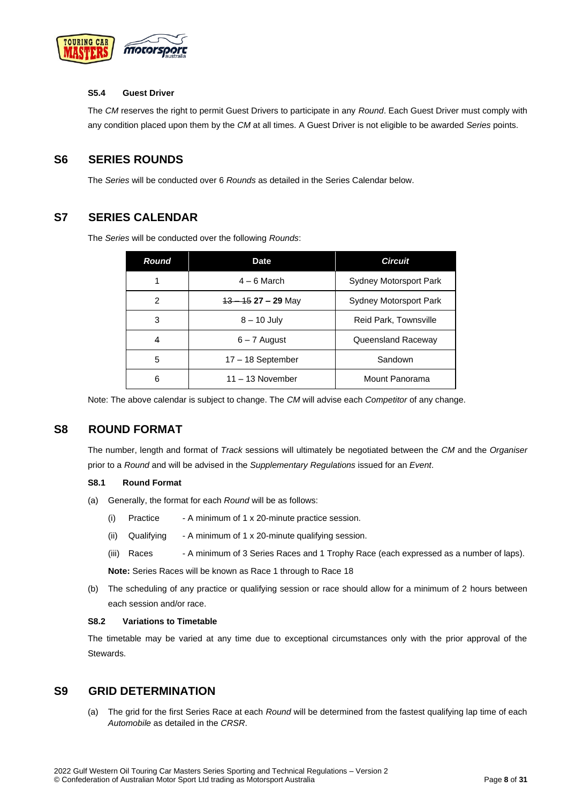

#### <span id="page-7-0"></span>**S5.4 Guest Driver**

The *CM* reserves the right to permit Guest Drivers to participate in any *Round*. Each Guest Driver must comply with any condition placed upon them by the *CM* at all times. A Guest Driver is not eligible to be awarded *Series* points.

## <span id="page-7-1"></span>**S6 SERIES ROUNDS**

The *Series* will be conducted over 6 *Rounds* as detailed in the Series Calendar below.

## <span id="page-7-2"></span>**S7 SERIES CALENDAR**

The *Series* will be conducted over the following *Rounds*:

| <b>Round</b> | Date.                | <b>Circuit</b>                |
|--------------|----------------------|-------------------------------|
|              | $4 - 6$ March        | Sydney Motorsport Park        |
| 2            | $13 - 1527 - 29$ May | <b>Sydney Motorsport Park</b> |
| 3            | $8 - 10$ July        | Reid Park, Townsville         |
| 4            | $6 - 7$ August       | Queensland Raceway            |
| 5            | $17 - 18$ September  | Sandown                       |
| 6            | $11 - 13$ November   | Mount Panorama                |

Note: The above calendar is subject to change. The *CM* will advise each *Competitor* of any change.

## <span id="page-7-3"></span>**S8 ROUND FORMAT**

The number, length and format of *Track* sessions will ultimately be negotiated between the *CM* and the *Organiser* prior to a *Round* and will be advised in the *Supplementary Regulations* issued for an *Event*.

#### <span id="page-7-4"></span>**S8.1 Round Format**

- (a) Generally, the format for each *Round* will be as follows:
	- (i) Practice A minimum of 1 x 20-minute practice session.
	- (ii) Qualifying A minimum of 1 x 20-minute qualifying session.
	- (iii) Races A minimum of 3 Series Races and 1 Trophy Race (each expressed as a number of laps).

**Note:** Series Races will be known as Race 1 through to Race 18

(b) The scheduling of any practice or qualifying session or race should allow for a minimum of 2 hours between each session and/or race.

#### <span id="page-7-5"></span>**S8.2 Variations to Timetable**

The timetable may be varied at any time due to exceptional circumstances only with the prior approval of the Stewards.

## <span id="page-7-6"></span>**S9 GRID DETERMINATION**

(a) The grid for the first Series Race at each *Round* will be determined from the fastest qualifying lap time of each *Automobile* as detailed in the *CRSR*.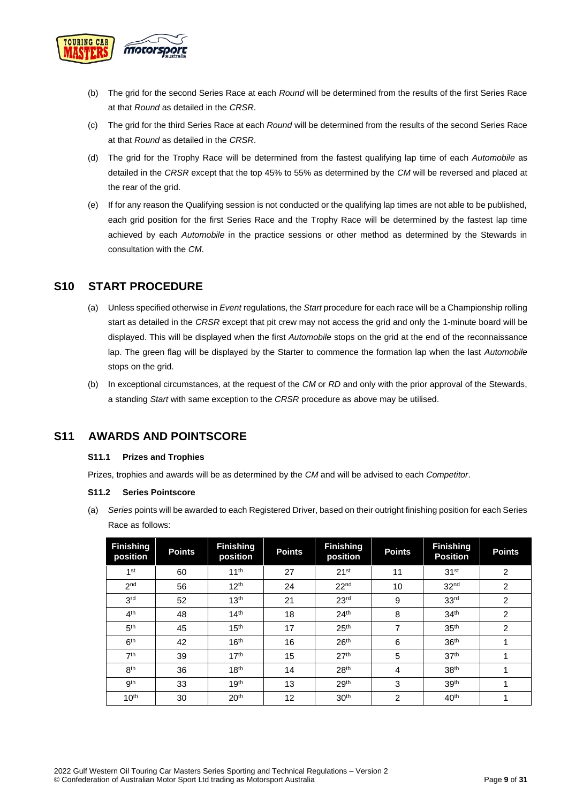

- (b) The grid for the second Series Race at each *Round* will be determined from the results of the first Series Race at that *Round* as detailed in the *CRSR*.
- (c) The grid for the third Series Race at each *Round* will be determined from the results of the second Series Race at that *Round* as detailed in the *CRSR*.
- (d) The grid for the Trophy Race will be determined from the fastest qualifying lap time of each *Automobile* as detailed in the *CRSR* except that the top 45% to 55% as determined by the *CM* will be reversed and placed at the rear of the grid.
- (e) If for any reason the Qualifying session is not conducted or the qualifying lap times are not able to be published, each grid position for the first Series Race and the Trophy Race will be determined by the fastest lap time achieved by each *Automobile* in the practice sessions or other method as determined by the Stewards in consultation with the *CM*.

## <span id="page-8-0"></span>**S10 START PROCEDURE**

- (a) Unless specified otherwise in *Event* regulations, the *Start* procedure for each race will be a Championship rolling start as detailed in the *CRSR* except that pit crew may not access the grid and only the 1-minute board will be displayed. This will be displayed when the first *Automobile* stops on the grid at the end of the reconnaissance lap. The green flag will be displayed by the Starter to commence the formation lap when the last *Automobile* stops on the grid.
- (b) In exceptional circumstances, at the request of the *CM* or *RD* and only with the prior approval of the Stewards, a standing *Start* with same exception to the *CRSR* procedure as above may be utilised.

## <span id="page-8-2"></span><span id="page-8-1"></span>**S11 AWARDS AND POINTSCORE**

#### **S11.1 Prizes and Trophies**

Prizes, trophies and awards will be as determined by the *CM* and will be advised to each *Competitor*.

#### <span id="page-8-3"></span>**S11.2 Series Pointscore**

(a) *Series* points will be awarded to each Registered Driver, based on their outright finishing position for each Series Race as follows:

| <b>Finishing</b><br>position | <b>Points</b> | <b>Finishing</b><br>position | <b>Points</b> | <b>Finishing</b><br>position | <b>Points</b>  | <b>Finishing</b><br><b>Position</b> | <b>Points</b>  |
|------------------------------|---------------|------------------------------|---------------|------------------------------|----------------|-------------------------------------|----------------|
| 1 <sup>st</sup>              | 60            | 11 <sup>th</sup>             | 27            | 21 <sup>st</sup>             | 11             | 31 <sup>st</sup>                    | $\overline{2}$ |
| 2 <sub>nd</sub>              | 56            | 12 <sup>th</sup>             | 24            | 22 <sup>nd</sup>             | 10             | 32 <sup>nd</sup>                    | $\overline{2}$ |
| 3 <sup>rd</sup>              | 52            | 13 <sup>th</sup>             | 21            | 23 <sup>rd</sup>             | 9              | 33 <sup>rd</sup>                    | $\overline{2}$ |
| 4 <sup>th</sup>              | 48            | 14 <sup>th</sup>             | 18            | 24 <sup>th</sup>             | 8              | 34 <sup>th</sup>                    | $\overline{2}$ |
| 5 <sup>th</sup>              | 45            | 15 <sup>th</sup>             | 17            | 25 <sup>th</sup>             | 7              | 35 <sup>th</sup>                    | $\overline{2}$ |
| 6 <sup>th</sup>              | 42            | 16 <sup>th</sup>             | 16            | 26 <sup>th</sup>             | 6              | 36 <sup>th</sup>                    |                |
| 7 <sup>th</sup>              | 39            | 17 <sup>th</sup>             | 15            | 27 <sup>th</sup>             | 5              | 37 <sup>th</sup>                    |                |
| 8 <sup>th</sup>              | 36            | 18 <sup>th</sup>             | 14            | 28 <sup>th</sup>             | $\overline{4}$ | 38 <sup>th</sup>                    | и              |
| gth                          | 33            | 19 <sup>th</sup>             | 13            | 29 <sup>th</sup>             | 3              | 39 <sup>th</sup>                    | 4              |
| 10 <sup>th</sup>             | 30            | 20 <sup>th</sup>             | 12            | 30 <sup>th</sup>             | $\overline{2}$ | 40 <sup>th</sup>                    | ۸              |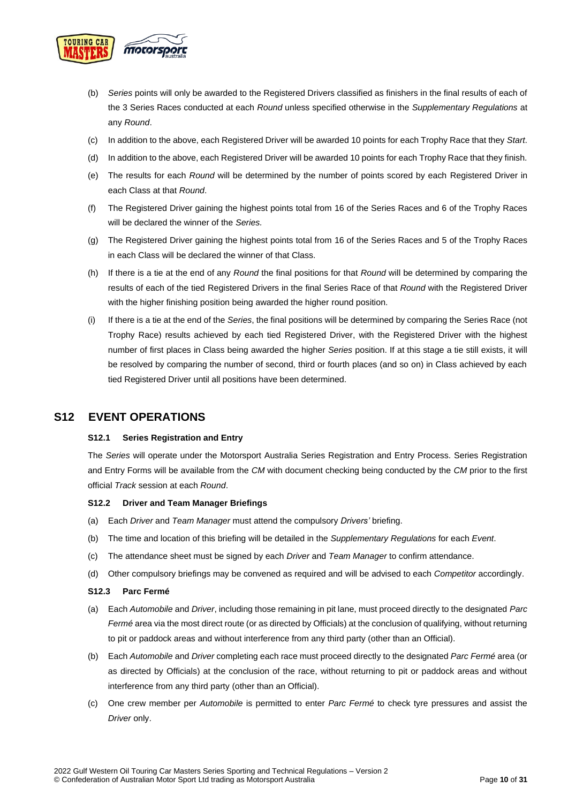

- (b) *Series* points will only be awarded to the Registered Drivers classified as finishers in the final results of each of the 3 Series Races conducted at each *Round* unless specified otherwise in the *Supplementary Regulations* at any *Round*.
- (c) In addition to the above, each Registered Driver will be awarded 10 points for each Trophy Race that they *Start*.
- (d) In addition to the above, each Registered Driver will be awarded 10 points for each Trophy Race that they finish.
- (e) The results for each *Round* will be determined by the number of points scored by each Registered Driver in each Class at that *Round*.
- (f) The Registered Driver gaining the highest points total from 16 of the Series Races and 6 of the Trophy Races will be declared the winner of the *Series.*
- (g) The Registered Driver gaining the highest points total from 16 of the Series Races and 5 of the Trophy Races in each Class will be declared the winner of that Class.
- (h) If there is a tie at the end of any *Round* the final positions for that *Round* will be determined by comparing the results of each of the tied Registered Drivers in the final Series Race of that *Round* with the Registered Driver with the higher finishing position being awarded the higher round position.
- (i) If there is a tie at the end of the *Series*, the final positions will be determined by comparing the Series Race (not Trophy Race) results achieved by each tied Registered Driver, with the Registered Driver with the highest number of first places in Class being awarded the higher *Series* position. If at this stage a tie still exists, it will be resolved by comparing the number of second, third or fourth places (and so on) in Class achieved by each tied Registered Driver until all positions have been determined.

## <span id="page-9-1"></span><span id="page-9-0"></span>**S12 EVENT OPERATIONS**

#### **S12.1 Series Registration and Entry**

The *Series* will operate under the Motorsport Australia Series Registration and Entry Process. Series Registration and Entry Forms will be available from the *CM* with document checking being conducted by the *CM* prior to the first official *Track* session at each *Round*.

#### <span id="page-9-2"></span>**S12.2 Driver and Team Manager Briefings**

- (a) Each *Driver* and *Team Manager* must attend the compulsory *Drivers'* briefing.
- (b) The time and location of this briefing will be detailed in the *Supplementary Regulations* for each *Event*.
- (c) The attendance sheet must be signed by each *Driver* and *Team Manager* to confirm attendance.
- (d) Other compulsory briefings may be convened as required and will be advised to each *Competitor* accordingly.

#### <span id="page-9-3"></span>**S12.3 Parc Fermé**

- (a) Each *Automobile* and *Driver*, including those remaining in pit lane, must proceed directly to the designated *Parc Fermé* area via the most direct route (or as directed by Officials) at the conclusion of qualifying, without returning to pit or paddock areas and without interference from any third party (other than an Official).
- (b) Each *Automobile* and *Driver* completing each race must proceed directly to the designated *Parc Fermé* area (or as directed by Officials) at the conclusion of the race, without returning to pit or paddock areas and without interference from any third party (other than an Official).
- (c) One crew member per *Automobile* is permitted to enter *Parc Fermé* to check tyre pressures and assist the *Driver* only.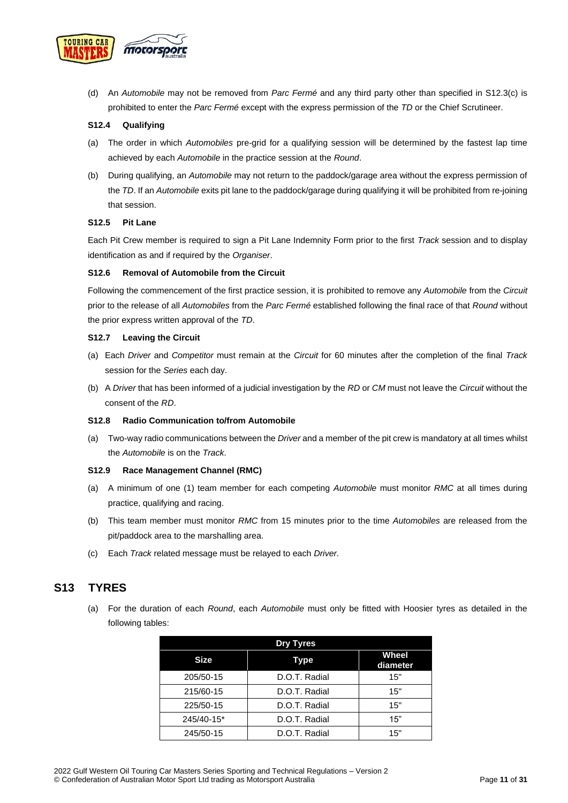

(d) An *Automobile* may not be removed from *Parc Fermé* and any third party other than specified in S12.3(c) is prohibited to enter the *Parc Fermé* except with the express permission of the *TD* or the Chief Scrutineer.

#### <span id="page-10-0"></span>**S12.4 Qualifying**

- (a) The order in which *Automobiles* pre-grid for a qualifying session will be determined by the fastest lap time achieved by each *Automobile* in the practice session at the *Round*.
- (b) During qualifying, an *Automobile* may not return to the paddock/garage area without the express permission of the *TD*. If an *Automobile* exits pit lane to the paddock/garage during qualifying it will be prohibited from re-joining that session.

#### <span id="page-10-1"></span>**S12.5 Pit Lane**

Each Pit Crew member is required to sign a Pit Lane Indemnity Form prior to the first *Track* session and to display identification as and if required by the *Organiser*.

#### <span id="page-10-2"></span>**S12.6 Removal of Automobile from the Circuit**

Following the commencement of the first practice session, it is prohibited to remove any *Automobile* from the *Circuit* prior to the release of all *Automobiles* from the *Parc Fermé* established following the final race of that *Round* without the prior express written approval of the *TD*.

#### <span id="page-10-3"></span>**S12.7 Leaving the Circuit**

- (a) Each *Driver* and *Competitor* must remain at the *Circuit* for 60 minutes after the completion of the final *Track* session for the *Series* each day.
- (b) A *Driver* that has been informed of a judicial investigation by the *RD* or *CM* must not leave the *Circuit* without the consent of the *RD*.

#### <span id="page-10-4"></span>**S12.8 Radio Communication to/from Automobile**

(a) Two-way radio communications between the *Driver* and a member of the pit crew is mandatory at all times whilst the *Automobile* is on the *Track*.

#### <span id="page-10-5"></span>**S12.9 Race Management Channel (RMC)**

- (a) A minimum of one (1) team member for each competing *Automobile* must monitor *RMC* at all times during practice, qualifying and racing.
- (b) This team member must monitor *RMC* from 15 minutes prior to the time *Automobiles* are released from the pit/paddock area to the marshalling area.
- (c) Each *Track* related message must be relayed to each *Driver*.

### <span id="page-10-6"></span>**S13 TYRES**

(a) For the duration of each *Round*, each *Automobile* must only be fitted with Hoosier tyres as detailed in the following tables:

| <b>Dry Tyres</b> |               |                          |  |  |
|------------------|---------------|--------------------------|--|--|
| <b>Size</b>      | Type          | <b>Wheel</b><br>diameter |  |  |
| 205/50-15        | D.O.T. Radial | 15"                      |  |  |
| 215/60-15        | D.O.T. Radial | 15"                      |  |  |
| 225/50-15        | D.O.T. Radial | 15"                      |  |  |
| 245/40-15*       | D.O.T. Radial | 15"                      |  |  |
| 245/50-15        | D.O.T. Radial | 15"                      |  |  |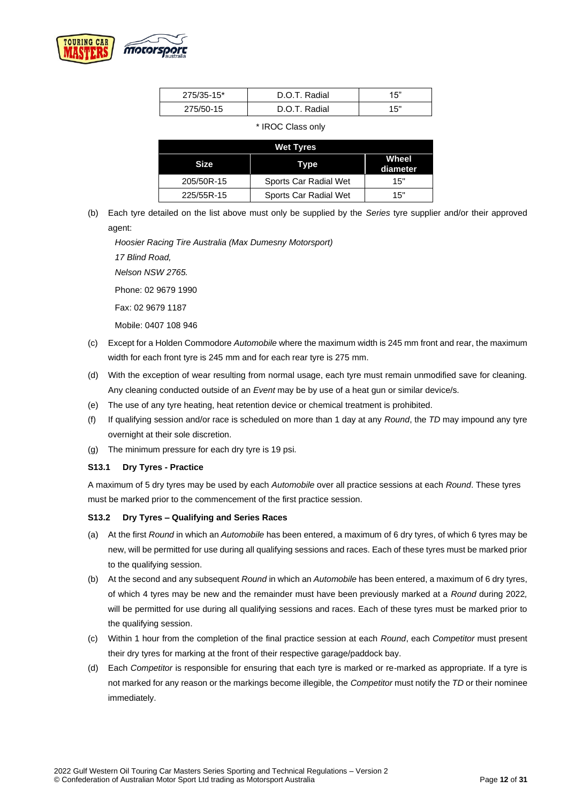

| 275/35-15* | D.O.T. Radial | 15" |
|------------|---------------|-----|
| 275/50-15  | D.O.T. Radial | 15" |

\* IROC Class only

| <b>Wet Tyres</b> |                       |     |  |  |
|------------------|-----------------------|-----|--|--|
| <b>Size</b>      | Wheel<br>diameter     |     |  |  |
| 205/50R-15       | Sports Car Radial Wet | 15" |  |  |
| 225/55R-15       | Sports Car Radial Wet | 15" |  |  |

(b) Each tyre detailed on the list above must only be supplied by the *Series* tyre supplier and/or their approved agent:

*Hoosier Racing Tire Australia (Max Dumesny Motorsport) 17 Blind Road, Nelson NSW 2765.*  Phone: 02 9679 1990

Fax: 02 9679 1187

Mobile: 0407 108 946

- (c) Except for a Holden Commodore *Automobile* where the maximum width is 245 mm front and rear, the maximum width for each front tyre is 245 mm and for each rear tyre is 275 mm.
- (d) With the exception of wear resulting from normal usage, each tyre must remain unmodified save for cleaning. Any cleaning conducted outside of an *Event* may be by use of a heat gun or similar device/s.
- (e) The use of any tyre heating, heat retention device or chemical treatment is prohibited.
- (f) If qualifying session and/or race is scheduled on more than 1 day at any *Round*, the *TD* may impound any tyre overnight at their sole discretion.
- (g) The minimum pressure for each dry tyre is 19 psi.

#### <span id="page-11-0"></span>**S13.1 Dry Tyres - Practice**

A maximum of 5 dry tyres may be used by each *Automobile* over all practice sessions at each *Round*. These tyres must be marked prior to the commencement of the first practice session.

### <span id="page-11-1"></span>**S13.2 Dry Tyres – Qualifying and Series Races**

- (a) At the first *Round* in which an *Automobile* has been entered, a maximum of 6 dry tyres, of which 6 tyres may be new, will be permitted for use during all qualifying sessions and races. Each of these tyres must be marked prior to the qualifying session.
- (b) At the second and any subsequent *Round* in which an *Automobile* has been entered, a maximum of 6 dry tyres, of which 4 tyres may be new and the remainder must have been previously marked at a *Round* during 2022*,* will be permitted for use during all qualifying sessions and races. Each of these tyres must be marked prior to the qualifying session.
- (c) Within 1 hour from the completion of the final practice session at each *Round*, each *Competitor* must present their dry tyres for marking at the front of their respective garage/paddock bay.
- (d) Each *Competitor* is responsible for ensuring that each tyre is marked or re-marked as appropriate. If a tyre is not marked for any reason or the markings become illegible, the *Competitor* must notify the *TD* or their nominee immediately.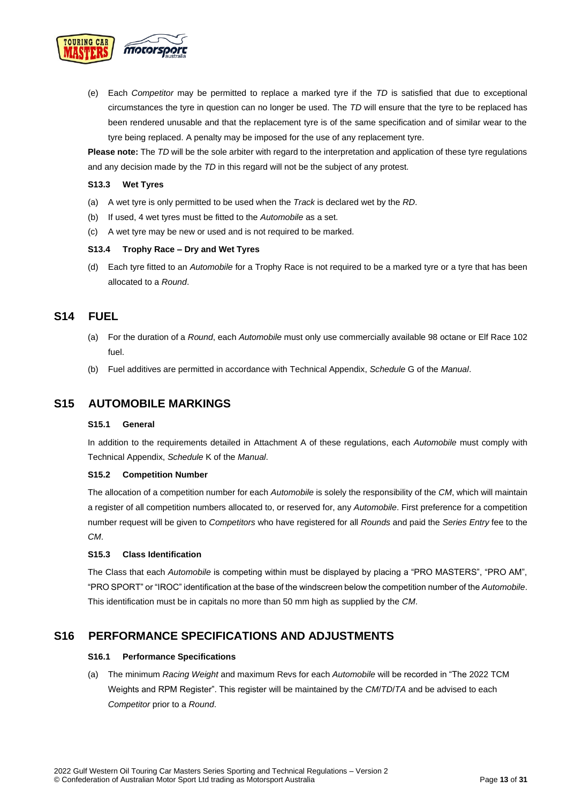

(e) Each *Competitor* may be permitted to replace a marked tyre if the *TD* is satisfied that due to exceptional circumstances the tyre in question can no longer be used. The *TD* will ensure that the tyre to be replaced has been rendered unusable and that the replacement tyre is of the same specification and of similar wear to the tyre being replaced. A penalty may be imposed for the use of any replacement tyre.

**Please note:** The *TD* will be the sole arbiter with regard to the interpretation and application of these tyre regulations and any decision made by the *TD* in this regard will not be the subject of any protest.

#### <span id="page-12-0"></span>**S13.3 Wet Tyres**

- (a) A wet tyre is only permitted to be used when the *Track* is declared wet by the *RD*.
- (b) If used, 4 wet tyres must be fitted to the *Automobile* as a set.
- (c) A wet tyre may be new or used and is not required to be marked.

#### <span id="page-12-1"></span>**S13.4 Trophy Race – Dry and Wet Tyres**

(d) Each tyre fitted to an *Automobile* for a Trophy Race is not required to be a marked tyre or a tyre that has been allocated to a *Round*.

## <span id="page-12-2"></span>**S14 FUEL**

- (a) For the duration of a *Round*, each *Automobile* must only use commercially available 98 octane or Elf Race 102 fuel.
- (b) Fuel additives are permitted in accordance with Technical Appendix, *Schedule* G of the *Manual*.

## <span id="page-12-4"></span><span id="page-12-3"></span>**S15 AUTOMOBILE MARKINGS**

#### **S15.1 General**

In addition to the requirements detailed in Attachment A of these regulations, each *Automobile* must comply with Technical Appendix, *Schedule* K of the *Manual*.

#### <span id="page-12-5"></span>**S15.2 Competition Number**

The allocation of a competition number for each *Automobile* is solely the responsibility of the *CM*, which will maintain a register of all competition numbers allocated to, or reserved for, any *Automobile*. First preference for a competition number request will be given to *Competitors* who have registered for all *Rounds* and paid the *Series Entry* fee to the *CM*.

#### <span id="page-12-6"></span>**S15.3 Class Identification**

The Class that each *Automobile* is competing within must be displayed by placing a "PRO MASTERS", "PRO AM", "PRO SPORT" or "IROC" identification at the base of the windscreen below the competition number of the *Automobile*. This identification must be in capitals no more than 50 mm high as supplied by the *CM*.

## <span id="page-12-8"></span><span id="page-12-7"></span>**S16 PERFORMANCE SPECIFICATIONS AND ADJUSTMENTS**

#### **S16.1 Performance Specifications**

(a) The minimum *Racing Weight* and maximum Revs for each *Automobile* will be recorded in "The 2022 TCM Weights and RPM Register". This register will be maintained by the *CM*/*TD*/*TA* and be advised to each *Competitor* prior to a *Round*.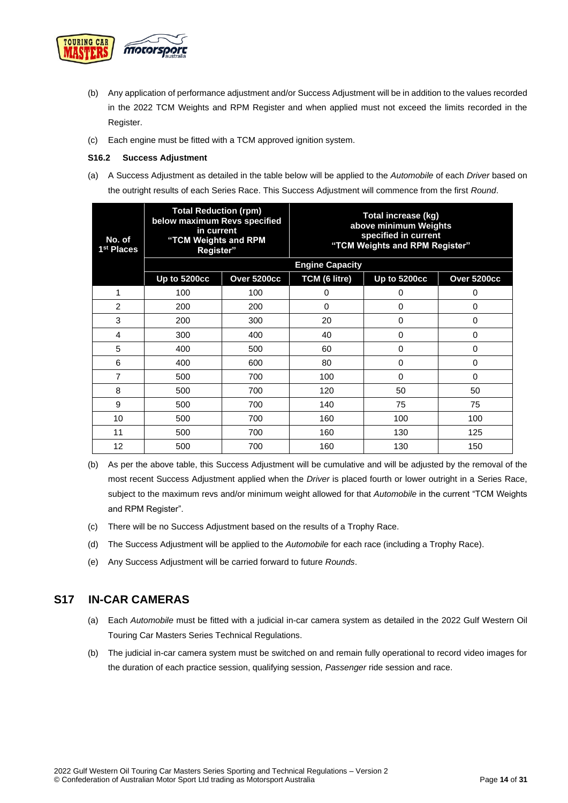

- (b) Any application of performance adjustment and/or Success Adjustment will be in addition to the values recorded in the 2022 TCM Weights and RPM Register and when applied must not exceed the limits recorded in the Register.
- (c) Each engine must be fitted with a TCM approved ignition system.

#### <span id="page-13-0"></span>**S16.2 Success Adjustment**

(a) A Success Adjustment as detailed in the table below will be applied to the *Automobile* of each *Driver* based on the outright results of each Series Race. This Success Adjustment will commence from the first *Round*.

| No. of<br>1 <sup>st</sup> Places | <b>Total Reduction (rpm)</b><br>below maximum Revs specified<br>in current<br>"TCM Weights and RPM<br>Register" |             | Total increase (kg)<br>above minimum Weights<br>specified in current<br>"TCM Weights and RPM Register" |              |             |
|----------------------------------|-----------------------------------------------------------------------------------------------------------------|-------------|--------------------------------------------------------------------------------------------------------|--------------|-------------|
|                                  |                                                                                                                 |             | <b>Engine Capacity</b>                                                                                 |              |             |
|                                  | <b>Up to 5200cc</b>                                                                                             | Over 5200cc | TCM (6 litre)                                                                                          | Up to 5200cc | Over 5200cc |
| 1                                | 100                                                                                                             | 100         | 0                                                                                                      | 0            | 0           |
| $\overline{2}$                   | 200                                                                                                             | 200         | $\Omega$                                                                                               | $\Omega$     | 0           |
| 3                                | 200                                                                                                             | 300         | 20                                                                                                     | $\Omega$     | 0           |
| 4                                | 300                                                                                                             | 400         | 40                                                                                                     | $\Omega$     | 0           |
| 5                                | 400                                                                                                             | 500         | 60                                                                                                     | 0            | 0           |
| 6                                | 400                                                                                                             | 600         | 80                                                                                                     | $\Omega$     | 0           |
| 7                                | 500                                                                                                             | 700         | 100                                                                                                    | $\Omega$     | 0           |
| 8                                | 500                                                                                                             | 700         | 120                                                                                                    | 50           | 50          |
| 9                                | 500                                                                                                             | 700         | 140                                                                                                    | 75           | 75          |
| 10                               | 500                                                                                                             | 700         | 160                                                                                                    | 100          | 100         |
| 11                               | 500                                                                                                             | 700         | 160                                                                                                    | 130          | 125         |
| 12                               | 500                                                                                                             | 700         | 160                                                                                                    | 130          | 150         |

- (b) As per the above table, this Success Adjustment will be cumulative and will be adjusted by the removal of the most recent Success Adjustment applied when the *Driver* is placed fourth or lower outright in a Series Race, subject to the maximum revs and/or minimum weight allowed for that *Automobile* in the current "TCM Weights and RPM Register".
- (c) There will be no Success Adjustment based on the results of a Trophy Race.
- (d) The Success Adjustment will be applied to the *Automobile* for each race (including a Trophy Race).
- (e) Any Success Adjustment will be carried forward to future *Rounds*.

### <span id="page-13-1"></span>**S17 IN-CAR CAMERAS**

- (a) Each *Automobile* must be fitted with a judicial in-car camera system as detailed in the 2022 Gulf Western Oil Touring Car Masters Series Technical Regulations.
- (b) The judicial in-car camera system must be switched on and remain fully operational to record video images for the duration of each practice session, qualifying session, *Passenger* ride session and race.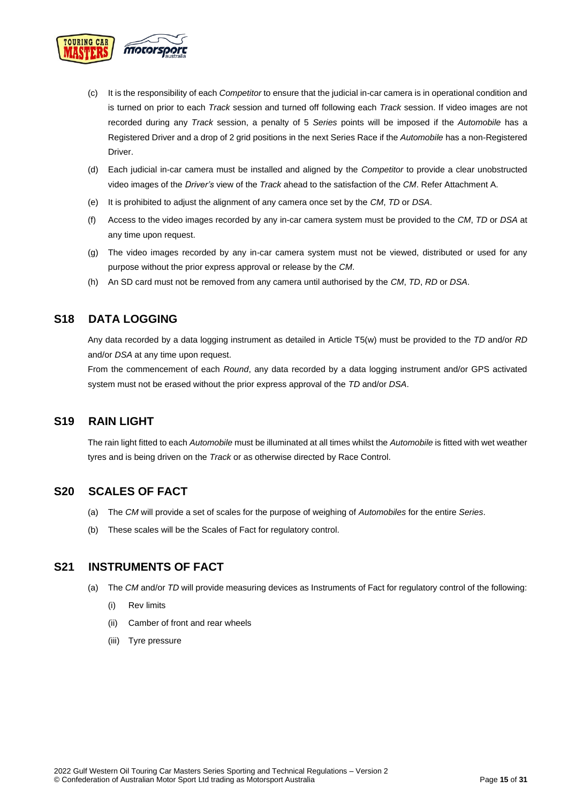

- (c) It is the responsibility of each *Competitor* to ensure that the judicial in-car camera is in operational condition and is turned on prior to each *Track* session and turned off following each *Track* session. If video images are not recorded during any *Track* session, a penalty of 5 *Series* points will be imposed if the *Automobile* has a Registered Driver and a drop of 2 grid positions in the next Series Race if the *Automobile* has a non-Registered Driver.
- (d) Each judicial in-car camera must be installed and aligned by the *Competitor* to provide a clear unobstructed video images of the *Driver's* view of the *Track* ahead to the satisfaction of the *CM*. Refer Attachment A.
- (e) It is prohibited to adjust the alignment of any camera once set by the *CM*, *TD* or *DSA*.
- (f) Access to the video images recorded by any in-car camera system must be provided to the *CM*, *TD* or *DSA* at any time upon request.
- (g) The video images recorded by any in-car camera system must not be viewed, distributed or used for any purpose without the prior express approval or release by the *CM*.
- (h) An SD card must not be removed from any camera until authorised by the *CM*, *TD*, *RD* or *DSA*.

## <span id="page-14-0"></span>**S18 DATA LOGGING**

Any data recorded by a data logging instrument as detailed in Article T5(w) must be provided to the *TD* and/or *RD* and/or *DSA* at any time upon request.

From the commencement of each *Round*, any data recorded by a data logging instrument and/or GPS activated system must not be erased without the prior express approval of the *TD* and/or *DSA*.

## <span id="page-14-1"></span>**S19 RAIN LIGHT**

The rain light fitted to each *Automobile* must be illuminated at all times whilst the *Automobile* is fitted with wet weather tyres and is being driven on the *Track* or as otherwise directed by Race Control.

## <span id="page-14-2"></span>**S20 SCALES OF FACT**

- (a) The *CM* will provide a set of scales for the purpose of weighing of *Automobiles* for the entire *Series*.
- (b) These scales will be the Scales of Fact for regulatory control.

## <span id="page-14-3"></span>**S21 INSTRUMENTS OF FACT**

- (a) The *CM* and/or *TD* will provide measuring devices as Instruments of Fact for regulatory control of the following:
	- (i) Rev limits
	- (ii) Camber of front and rear wheels
	- (iii) Tyre pressure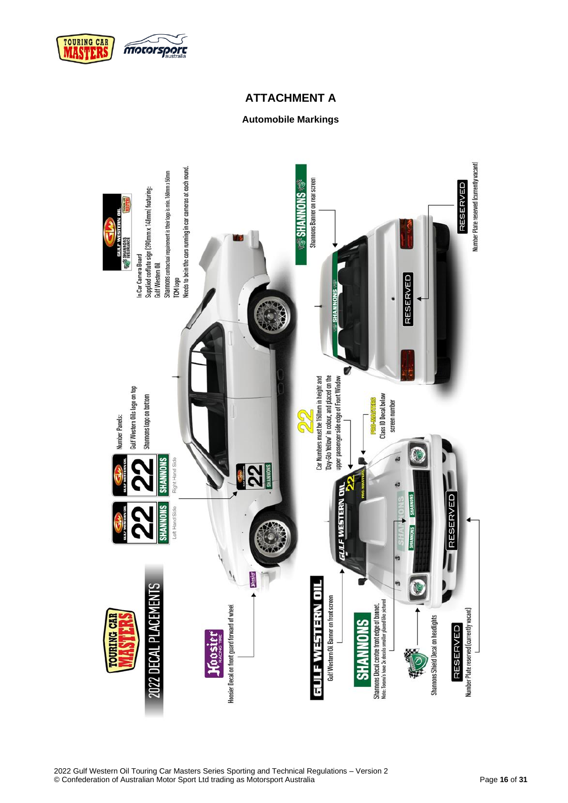

## **ATTACHMENT A**

## **Automobile Markings**

<span id="page-15-1"></span><span id="page-15-0"></span>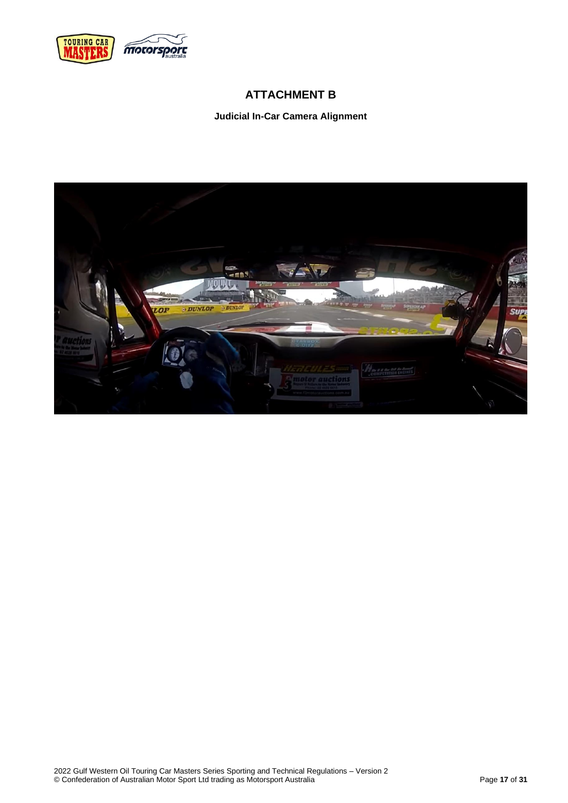<span id="page-16-0"></span>

## **ATTACHMENT B**

**Judicial In-Car Camera Alignment**

<span id="page-16-1"></span>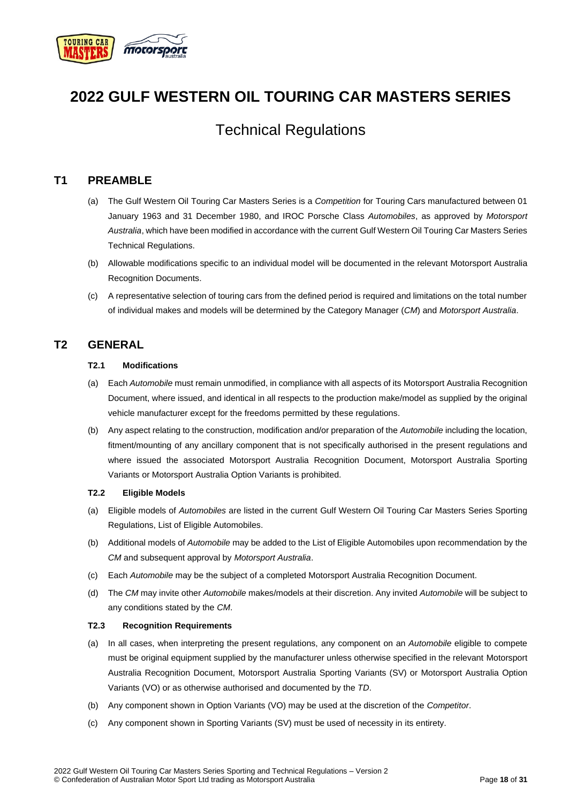

## **2022 GULF WESTERN OIL TOURING CAR MASTERS SERIES**

## Technical Regulations

## <span id="page-17-0"></span>**T1 PREAMBLE**

- (a) The Gulf Western Oil Touring Car Masters Series is a *Competition* for Touring Cars manufactured between 01 January 1963 and 31 December 1980, and IROC Porsche Class *Automobiles*, as approved by *Motorsport Australia*, which have been modified in accordance with the current Gulf Western Oil Touring Car Masters Series Technical Regulations.
- (b) Allowable modifications specific to an individual model will be documented in the relevant Motorsport Australia Recognition Documents.
- (c) A representative selection of touring cars from the defined period is required and limitations on the total number of individual makes and models will be determined by the Category Manager (*CM*) and *Motorsport Australia*.

## <span id="page-17-2"></span><span id="page-17-1"></span>**T2 GENERAL**

#### **T2.1 Modifications**

- (a) Each *Automobile* must remain unmodified, in compliance with all aspects of its Motorsport Australia Recognition Document, where issued, and identical in all respects to the production make/model as supplied by the original vehicle manufacturer except for the freedoms permitted by these regulations.
- (b) Any aspect relating to the construction, modification and/or preparation of the *Automobile* including the location, fitment/mounting of any ancillary component that is not specifically authorised in the present regulations and where issued the associated Motorsport Australia Recognition Document, Motorsport Australia Sporting Variants or Motorsport Australia Option Variants is prohibited.

#### <span id="page-17-3"></span>**T2.2 Eligible Models**

- (a) Eligible models of *Automobiles* are listed in the current Gulf Western Oil Touring Car Masters Series Sporting Regulations, List of Eligible Automobiles.
- (b) Additional models of *Automobile* may be added to the List of Eligible Automobiles upon recommendation by the *CM* and subsequent approval by *Motorsport Australia*.
- (c) Each *Automobile* may be the subject of a completed Motorsport Australia Recognition Document.
- (d) The *CM* may invite other *Automobile* makes/models at their discretion. Any invited *Automobile* will be subject to any conditions stated by the *CM*.

#### <span id="page-17-4"></span>**T2.3 Recognition Requirements**

- (a) In all cases, when interpreting the present regulations, any component on an *Automobile* eligible to compete must be original equipment supplied by the manufacturer unless otherwise specified in the relevant Motorsport Australia Recognition Document, Motorsport Australia Sporting Variants (SV) or Motorsport Australia Option Variants (VO) or as otherwise authorised and documented by the *TD*.
- (b) Any component shown in Option Variants (VO) may be used at the discretion of the *Competitor*.
- (c) Any component shown in Sporting Variants (SV) must be used of necessity in its entirety.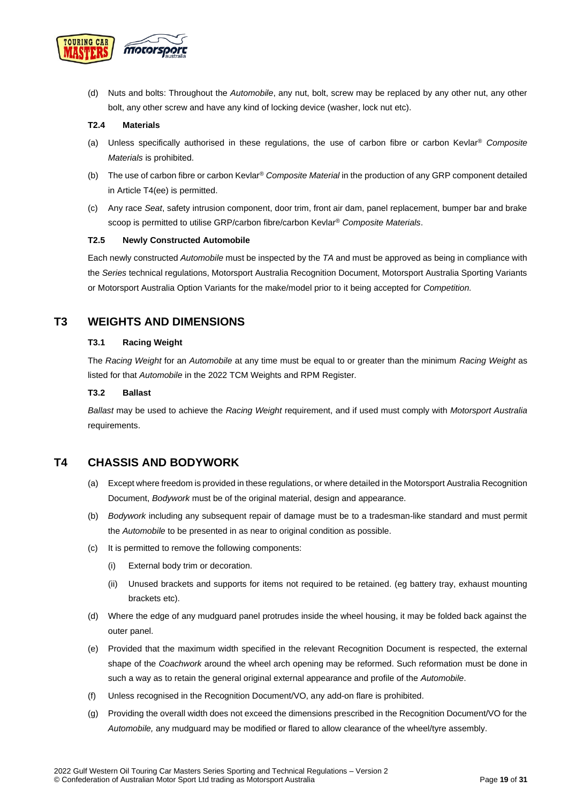

(d) Nuts and bolts: Throughout the *Automobile*, any nut, bolt, screw may be replaced by any other nut, any other bolt, any other screw and have any kind of locking device (washer, lock nut etc).

#### <span id="page-18-0"></span>**T2.4 Materials**

- (a) Unless specifically authorised in these regulations, the use of carbon fibre or carbon Kevlar® *Composite Materials* is prohibited.
- (b) The use of carbon fibre or carbon Kevlar® *Composite Material* in the production of any GRP component detailed in Article T4(ee) is permitted.
- (c) Any race *Seat*, safety intrusion component, door trim, front air dam, panel replacement, bumper bar and brake scoop is permitted to utilise GRP/carbon fibre/carbon Kevlar® *Composite Materials*.

#### <span id="page-18-1"></span>**T2.5 Newly Constructed Automobile**

Each newly constructed *Automobile* must be inspected by the *TA* and must be approved as being in compliance with the *Series* technical regulations, Motorsport Australia Recognition Document, Motorsport Australia Sporting Variants or Motorsport Australia Option Variants for the make/model prior to it being accepted for *Competition.*

## <span id="page-18-3"></span><span id="page-18-2"></span>**T3 WEIGHTS AND DIMENSIONS**

#### **T3.1 Racing Weight**

The *Racing Weight* for an *Automobile* at any time must be equal to or greater than the minimum *Racing Weight* as listed for that *Automobile* in the 2022 TCM Weights and RPM Register.

#### <span id="page-18-4"></span>**T3.2 Ballast**

*Ballast* may be used to achieve the *Racing Weight* requirement, and if used must comply with *Motorsport Australia* requirements.

## <span id="page-18-5"></span>**T4 CHASSIS AND BODYWORK**

- (a) Except where freedom is provided in these regulations, or where detailed in the Motorsport Australia Recognition Document, *Bodywork* must be of the original material, design and appearance.
- (b) *Bodywork* including any subsequent repair of damage must be to a tradesman-like standard and must permit the *Automobile* to be presented in as near to original condition as possible.
- (c) It is permitted to remove the following components:
	- (i) External body trim or decoration.
	- (ii) Unused brackets and supports for items not required to be retained. (eg battery tray, exhaust mounting brackets etc).
- (d) Where the edge of any mudguard panel protrudes inside the wheel housing, it may be folded back against the outer panel.
- (e) Provided that the maximum width specified in the relevant Recognition Document is respected, the external shape of the *Coachwork* around the wheel arch opening may be reformed. Such reformation must be done in such a way as to retain the general original external appearance and profile of the *Automobile*.
- (f) Unless recognised in the Recognition Document/VO, any add-on flare is prohibited.
- (g) Providing the overall width does not exceed the dimensions prescribed in the Recognition Document/VO for the *Automobile,* any mudguard may be modified or flared to allow clearance of the wheel/tyre assembly.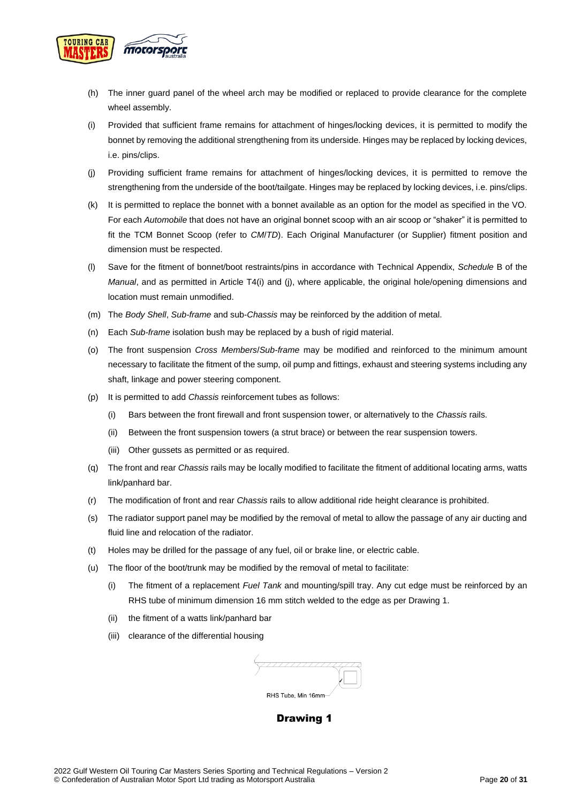

- (h) The inner guard panel of the wheel arch may be modified or replaced to provide clearance for the complete wheel assembly.
- (i) Provided that sufficient frame remains for attachment of hinges/locking devices, it is permitted to modify the bonnet by removing the additional strengthening from its underside. Hinges may be replaced by locking devices, i.e. pins/clips.
- (j) Providing sufficient frame remains for attachment of hinges/locking devices, it is permitted to remove the strengthening from the underside of the boot/tailgate. Hinges may be replaced by locking devices, i.e. pins/clips.
- (k) It is permitted to replace the bonnet with a bonnet available as an option for the model as specified in the VO. For each *Automobile* that does not have an original bonnet scoop with an air scoop or "shaker" it is permitted to fit the TCM Bonnet Scoop (refer to *CM*/*TD*). Each Original Manufacturer (or Supplier) fitment position and dimension must be respected.
- (l) Save for the fitment of bonnet/boot restraints/pins in accordance with Technical Appendix, *Schedule* B of the *Manual*, and as permitted in Article T4(i) and (j), where applicable, the original hole/opening dimensions and location must remain unmodified.
- (m) The *Body Shell*, *Sub-frame* and sub-*Chassis* may be reinforced by the addition of metal.
- (n) Each *Sub-frame* isolation bush may be replaced by a bush of rigid material.
- (o) The front suspension *Cross Members*/*Sub-frame* may be modified and reinforced to the minimum amount necessary to facilitate the fitment of the sump, oil pump and fittings, exhaust and steering systems including any shaft, linkage and power steering component.
- (p) It is permitted to add *Chassis* reinforcement tubes as follows:
	- (i) Bars between the front firewall and front suspension tower, or alternatively to the *Chassis* rails.
	- (ii) Between the front suspension towers (a strut brace) or between the rear suspension towers.
	- (iii) Other gussets as permitted or as required.
- (q) The front and rear *Chassis* rails may be locally modified to facilitate the fitment of additional locating arms, watts link/panhard bar.
- (r) The modification of front and rear *Chassis* rails to allow additional ride height clearance is prohibited.
- (s) The radiator support panel may be modified by the removal of metal to allow the passage of any air ducting and fluid line and relocation of the radiator.
- (t) Holes may be drilled for the passage of any fuel, oil or brake line, or electric cable.
- (u) The floor of the boot/trunk may be modified by the removal of metal to facilitate:
	- (i) The fitment of a replacement *Fuel Tank* and mounting/spill tray. Any cut edge must be reinforced by an RHS tube of minimum dimension 16 mm stitch welded to the edge as per Drawing 1.
	- (ii) the fitment of a watts link/panhard bar
	- (iii) clearance of the differential housing

| RHS Tube, Min 16mm |
|--------------------|

### **Drawing 1**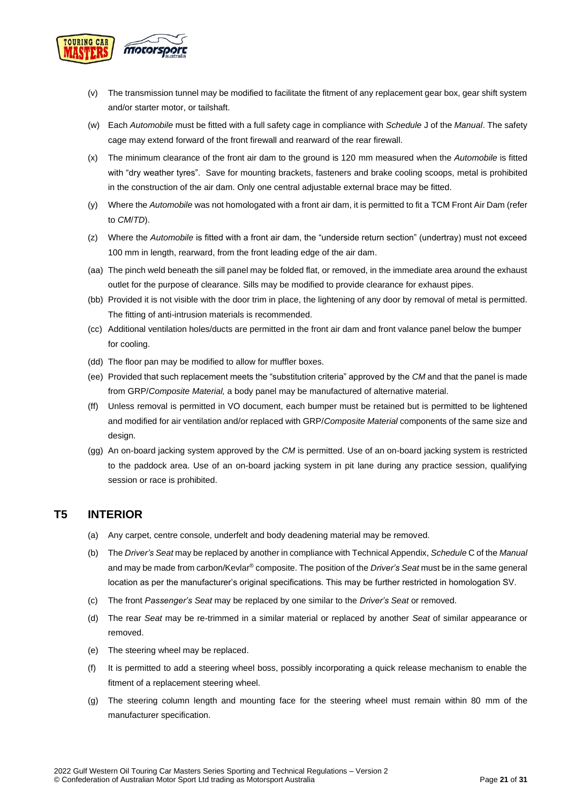

- (v) The transmission tunnel may be modified to facilitate the fitment of any replacement gear box, gear shift system and/or starter motor, or tailshaft.
- (w) Each *Automobile* must be fitted with a full safety cage in compliance with *Schedule* J of the *Manual*. The safety cage may extend forward of the front firewall and rearward of the rear firewall.
- (x) The minimum clearance of the front air dam to the ground is 120 mm measured when the *Automobile* is fitted with "dry weather tyres". Save for mounting brackets, fasteners and brake cooling scoops, metal is prohibited in the construction of the air dam. Only one central adjustable external brace may be fitted.
- (y) Where the *Automobile* was not homologated with a front air dam, it is permitted to fit a TCM Front Air Dam (refer to *CM*/*TD*).
- (z) Where the *Automobile* is fitted with a front air dam, the "underside return section" (undertray) must not exceed 100 mm in length, rearward, from the front leading edge of the air dam.
- (aa) The pinch weld beneath the sill panel may be folded flat, or removed, in the immediate area around the exhaust outlet for the purpose of clearance. Sills may be modified to provide clearance for exhaust pipes.
- (bb) Provided it is not visible with the door trim in place, the lightening of any door by removal of metal is permitted. The fitting of anti-intrusion materials is recommended.
- (cc) Additional ventilation holes/ducts are permitted in the front air dam and front valance panel below the bumper for cooling.
- (dd) The floor pan may be modified to allow for muffler boxes.
- (ee) Provided that such replacement meets the "substitution criteria" approved by the *CM* and that the panel is made from GRP/*Composite Material,* a body panel may be manufactured of alternative material.
- (ff) Unless removal is permitted in VO document, each bumper must be retained but is permitted to be lightened and modified for air ventilation and/or replaced with GRP/*Composite Material* components of the same size and design.
- (gg) An on-board jacking system approved by the *CM* is permitted. Use of an on-board jacking system is restricted to the paddock area. Use of an on-board jacking system in pit lane during any practice session, qualifying session or race is prohibited.

## <span id="page-20-0"></span>**T5 INTERIOR**

- (a) Any carpet, centre console, underfelt and body deadening material may be removed.
- (b) The *Driver's Seat* may be replaced by another in compliance with Technical Appendix, *Schedule* C of the *Manual* and may be made from carbon/Kevlar® composite. The position of the *Driver's Seat* must be in the same general location as per the manufacturer's original specifications. This may be further restricted in homologation SV.
- (c) The front *Passenger's Seat* may be replaced by one similar to the *Driver's Seat* or removed.
- (d) The rear *Seat* may be re-trimmed in a similar material or replaced by another *Seat* of similar appearance or removed.
- (e) The steering wheel may be replaced.
- (f) It is permitted to add a steering wheel boss, possibly incorporating a quick release mechanism to enable the fitment of a replacement steering wheel.
- (g) The steering column length and mounting face for the steering wheel must remain within 80 mm of the manufacturer specification.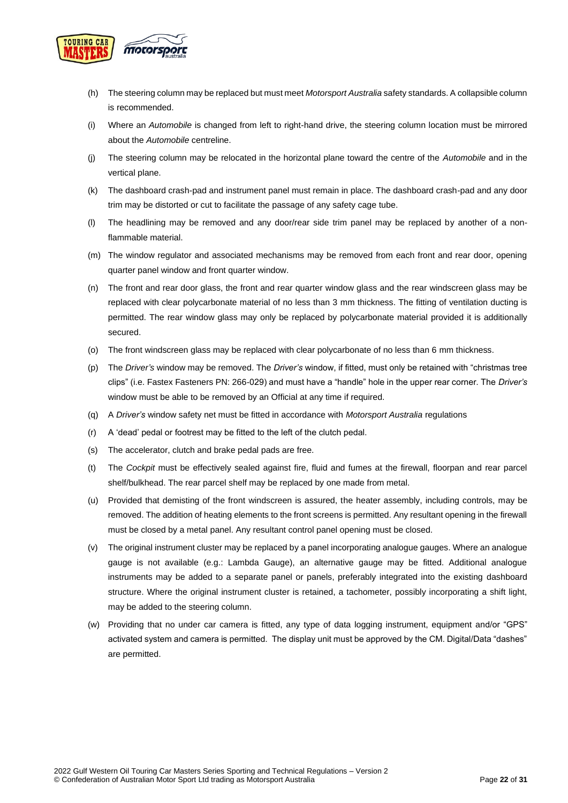

- (h) The steering column may be replaced but must meet *Motorsport Australia* safety standards. A collapsible column is recommended.
- (i) Where an *Automobile* is changed from left to right-hand drive, the steering column location must be mirrored about the *Automobile* centreline.
- (j) The steering column may be relocated in the horizontal plane toward the centre of the *Automobile* and in the vertical plane.
- (k) The dashboard crash-pad and instrument panel must remain in place. The dashboard crash-pad and any door trim may be distorted or cut to facilitate the passage of any safety cage tube.
- (l) The headlining may be removed and any door/rear side trim panel may be replaced by another of a nonflammable material.
- (m) The window regulator and associated mechanisms may be removed from each front and rear door, opening quarter panel window and front quarter window.
- (n) The front and rear door glass, the front and rear quarter window glass and the rear windscreen glass may be replaced with clear polycarbonate material of no less than 3 mm thickness. The fitting of ventilation ducting is permitted. The rear window glass may only be replaced by polycarbonate material provided it is additionally secured.
- (o) The front windscreen glass may be replaced with clear polycarbonate of no less than 6 mm thickness.
- (p) The *Driver's* window may be removed. The *Driver's* window, if fitted, must only be retained with "christmas tree clips" (i.e. Fastex Fasteners PN: 266-029) and must have a "handle" hole in the upper rear corner. The *Driver's*  window must be able to be removed by an Official at any time if required.
- (q) A *Driver's* window safety net must be fitted in accordance with *Motorsport Australia* regulations
- (r) A 'dead' pedal or footrest may be fitted to the left of the clutch pedal.
- (s) The accelerator, clutch and brake pedal pads are free.
- (t) The *Cockpit* must be effectively sealed against fire, fluid and fumes at the firewall, floorpan and rear parcel shelf/bulkhead. The rear parcel shelf may be replaced by one made from metal.
- (u) Provided that demisting of the front windscreen is assured, the heater assembly, including controls, may be removed. The addition of heating elements to the front screens is permitted. Any resultant opening in the firewall must be closed by a metal panel. Any resultant control panel opening must be closed.
- (v) The original instrument cluster may be replaced by a panel incorporating analogue gauges. Where an analogue gauge is not available (e.g.: Lambda Gauge), an alternative gauge may be fitted. Additional analogue instruments may be added to a separate panel or panels, preferably integrated into the existing dashboard structure. Where the original instrument cluster is retained, a tachometer, possibly incorporating a shift light, may be added to the steering column.
- (w) Providing that no under car camera is fitted, any type of data logging instrument, equipment and/or "GPS" activated system and camera is permitted. The display unit must be approved by the CM. Digital/Data "dashes" are permitted.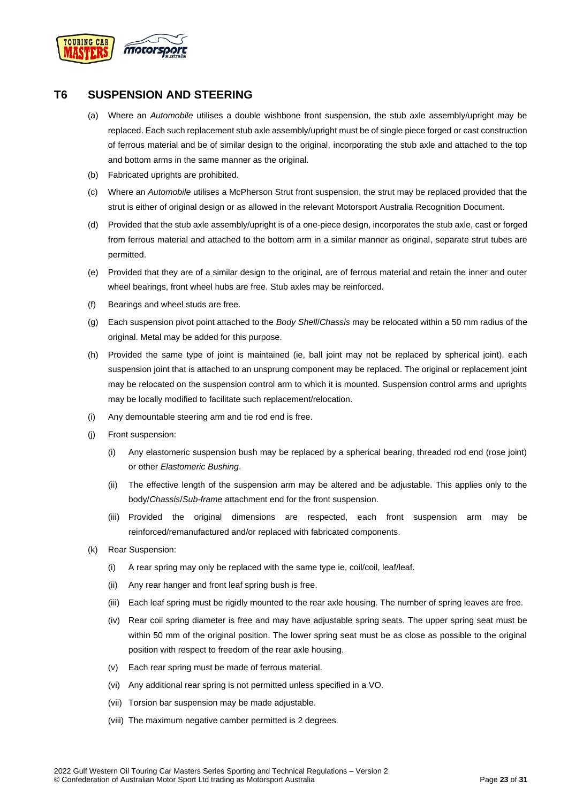

## <span id="page-22-0"></span>**T6 SUSPENSION AND STEERING**

- (a) Where an *Automobile* utilises a double wishbone front suspension, the stub axle assembly/upright may be replaced. Each such replacement stub axle assembly/upright must be of single piece forged or cast construction of ferrous material and be of similar design to the original, incorporating the stub axle and attached to the top and bottom arms in the same manner as the original.
- (b) Fabricated uprights are prohibited.
- (c) Where an *Automobile* utilises a McPherson Strut front suspension, the strut may be replaced provided that the strut is either of original design or as allowed in the relevant Motorsport Australia Recognition Document.
- (d) Provided that the stub axle assembly/upright is of a one-piece design, incorporates the stub axle, cast or forged from ferrous material and attached to the bottom arm in a similar manner as original, separate strut tubes are permitted.
- (e) Provided that they are of a similar design to the original, are of ferrous material and retain the inner and outer wheel bearings, front wheel hubs are free. Stub axles may be reinforced.
- (f) Bearings and wheel studs are free.
- (g) Each suspension pivot point attached to the *Body Shell*/*Chassis* may be relocated within a 50 mm radius of the original. Metal may be added for this purpose.
- (h) Provided the same type of joint is maintained (ie, ball joint may not be replaced by spherical joint), each suspension joint that is attached to an unsprung component may be replaced. The original or replacement joint may be relocated on the suspension control arm to which it is mounted. Suspension control arms and uprights may be locally modified to facilitate such replacement/relocation.
- (i) Any demountable steering arm and tie rod end is free.
- (j) Front suspension:
	- (i) Any elastomeric suspension bush may be replaced by a spherical bearing, threaded rod end (rose joint) or other *Elastomeric Bushing*.
	- (ii) The effective length of the suspension arm may be altered and be adjustable. This applies only to the body/*Chassis*/*Sub-frame* attachment end for the front suspension.
	- (iii) Provided the original dimensions are respected, each front suspension arm may be reinforced/remanufactured and/or replaced with fabricated components.
- (k) Rear Suspension:
	- (i) A rear spring may only be replaced with the same type ie, coil/coil, leaf/leaf.
	- (ii) Any rear hanger and front leaf spring bush is free.
	- (iii) Each leaf spring must be rigidly mounted to the rear axle housing. The number of spring leaves are free.
	- (iv) Rear coil spring diameter is free and may have adjustable spring seats. The upper spring seat must be within 50 mm of the original position. The lower spring seat must be as close as possible to the original position with respect to freedom of the rear axle housing.
	- (v) Each rear spring must be made of ferrous material.
	- (vi) Any additional rear spring is not permitted unless specified in a VO.
	- (vii) Torsion bar suspension may be made adjustable.
	- (viii) The maximum negative camber permitted is 2 degrees.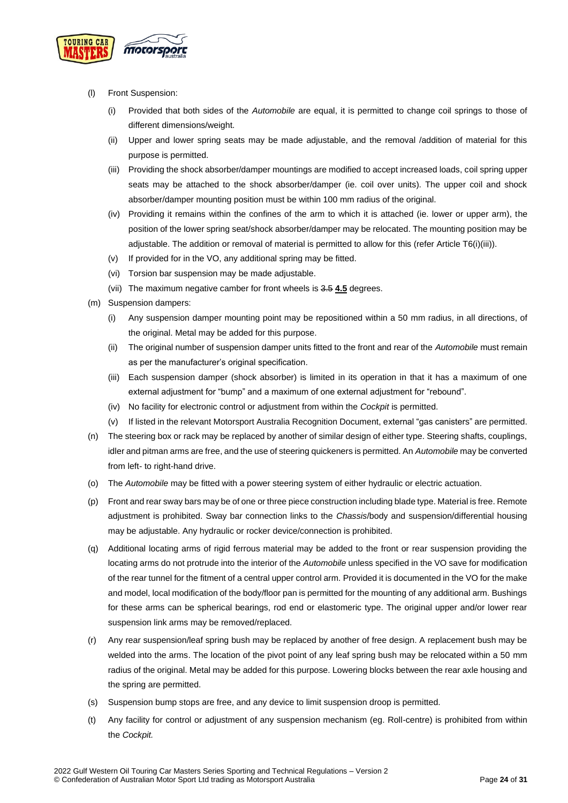

- (l) Front Suspension:
	- (i) Provided that both sides of the *Automobile* are equal, it is permitted to change coil springs to those of different dimensions/weight.
	- (ii) Upper and lower spring seats may be made adjustable, and the removal /addition of material for this purpose is permitted.
	- (iii) Providing the shock absorber/damper mountings are modified to accept increased loads, coil spring upper seats may be attached to the shock absorber/damper (ie. coil over units). The upper coil and shock absorber/damper mounting position must be within 100 mm radius of the original.
	- (iv) Providing it remains within the confines of the arm to which it is attached (ie. lower or upper arm), the position of the lower spring seat/shock absorber/damper may be relocated. The mounting position may be adjustable. The addition or removal of material is permitted to allow for this (refer Article T6(i)(iii)).
	- (v) If provided for in the VO, any additional spring may be fitted.
	- (vi) Torsion bar suspension may be made adjustable.
	- (vii) The maximum negative camber for front wheels is 3.5 **4.5** degrees.
- (m) Suspension dampers:
	- (i) Any suspension damper mounting point may be repositioned within a 50 mm radius, in all directions, of the original. Metal may be added for this purpose.
	- (ii) The original number of suspension damper units fitted to the front and rear of the *Automobile* must remain as per the manufacturer's original specification.
	- (iii) Each suspension damper (shock absorber) is limited in its operation in that it has a maximum of one external adjustment for "bump" and a maximum of one external adjustment for "rebound".
	- (iv) No facility for electronic control or adjustment from within the *Cockpit* is permitted.
	- (v) If listed in the relevant Motorsport Australia Recognition Document, external "gas canisters" are permitted.
- (n) The steering box or rack may be replaced by another of similar design of either type. Steering shafts, couplings, idler and pitman arms are free, and the use of steering quickeners is permitted. An *Automobile* may be converted from left- to right-hand drive.
- (o) The *Automobile* may be fitted with a power steering system of either hydraulic or electric actuation.
- (p) Front and rear sway bars may be of one or three piece construction including blade type. Material is free. Remote adjustment is prohibited. Sway bar connection links to the *Chassis*/body and suspension/differential housing may be adjustable. Any hydraulic or rocker device/connection is prohibited.
- (q) Additional locating arms of rigid ferrous material may be added to the front or rear suspension providing the locating arms do not protrude into the interior of the *Automobile* unless specified in the VO save for modification of the rear tunnel for the fitment of a central upper control arm. Provided it is documented in the VO for the make and model, local modification of the body/floor pan is permitted for the mounting of any additional arm. Bushings for these arms can be spherical bearings, rod end or elastomeric type. The original upper and/or lower rear suspension link arms may be removed/replaced.
- (r) Any rear suspension/leaf spring bush may be replaced by another of free design. A replacement bush may be welded into the arms. The location of the pivot point of any leaf spring bush may be relocated within a 50 mm radius of the original. Metal may be added for this purpose. Lowering blocks between the rear axle housing and the spring are permitted.
- (s) Suspension bump stops are free, and any device to limit suspension droop is permitted.
- (t) Any facility for control or adjustment of any suspension mechanism (eg. Roll-centre) is prohibited from within the *Cockpit.*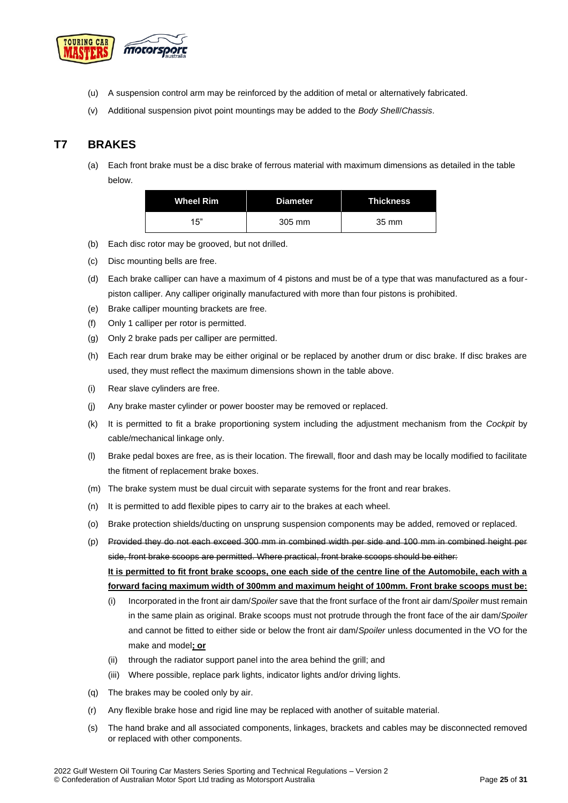

- (u) A suspension control arm may be reinforced by the addition of metal or alternatively fabricated.
- (v) Additional suspension pivot point mountings may be added to the *Body Shell*/*Chassis*.

## <span id="page-24-0"></span>**T7 BRAKES**

(a) Each front brake must be a disc brake of ferrous material with maximum dimensions as detailed in the table below.

| <b>Wheel Rim</b> | <b>Diameter</b> | <b>Thickness</b> |
|------------------|-----------------|------------------|
| 15"              | 305 mm          | 35 mm            |

- (b) Each disc rotor may be grooved, but not drilled.
- (c) Disc mounting bells are free.
- (d) Each brake calliper can have a maximum of 4 pistons and must be of a type that was manufactured as a fourpiston calliper. Any calliper originally manufactured with more than four pistons is prohibited.
- (e) Brake calliper mounting brackets are free.
- (f) Only 1 calliper per rotor is permitted.
- (g) Only 2 brake pads per calliper are permitted.
- (h) Each rear drum brake may be either original or be replaced by another drum or disc brake. If disc brakes are used, they must reflect the maximum dimensions shown in the table above.
- (i) Rear slave cylinders are free.
- (j) Any brake master cylinder or power booster may be removed or replaced.
- (k) It is permitted to fit a brake proportioning system including the adjustment mechanism from the *Cockpit* by cable/mechanical linkage only.
- (l) Brake pedal boxes are free, as is their location. The firewall, floor and dash may be locally modified to facilitate the fitment of replacement brake boxes.
- (m) The brake system must be dual circuit with separate systems for the front and rear brakes.
- (n) It is permitted to add flexible pipes to carry air to the brakes at each wheel.
- (o) Brake protection shields/ducting on unsprung suspension components may be added, removed or replaced.
- (p) Provided they do not each exceed 300 mm in combined width per side and 100 mm in combined height per side, front brake scoops are permitted. Where practical, front brake scoops should be either: **It is permitted to fit front brake scoops, one each side of the centre line of the Automobile, each with a**

**forward facing maximum width of 300mm and maximum height of 100mm. Front brake scoops must be:**

- (i) Incorporated in the front air dam/*Spoiler* save that the front surface of the front air dam/*Spoiler* must remain in the same plain as original. Brake scoops must not protrude through the front face of the air dam/*Spoiler* and cannot be fitted to either side or below the front air dam/*Spoiler* unless documented in the VO for the make and model**; or**
- (ii) through the radiator support panel into the area behind the grill; and
- (iii) Where possible, replace park lights, indicator lights and/or driving lights.
- (q) The brakes may be cooled only by air.
- (r) Any flexible brake hose and rigid line may be replaced with another of suitable material.
- (s) The hand brake and all associated components, linkages, brackets and cables may be disconnected removed or replaced with other components.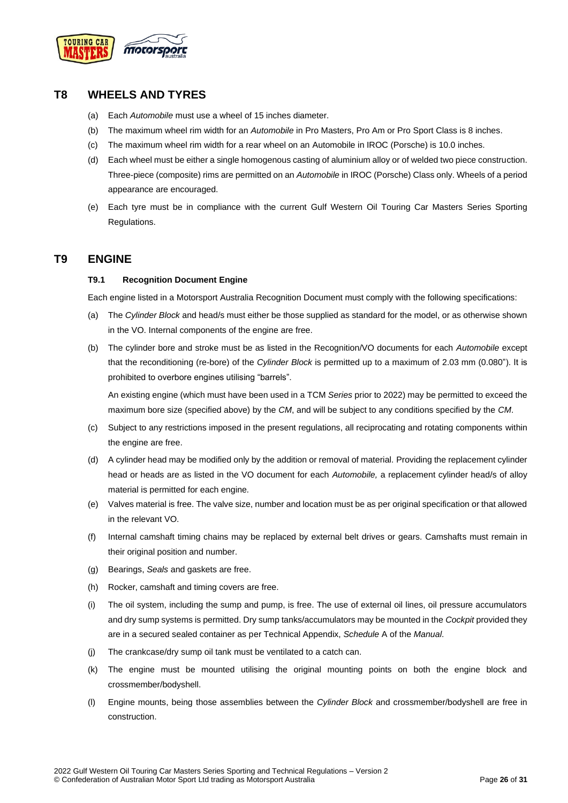

## <span id="page-25-0"></span>**T8 WHEELS AND TYRES**

- (a) Each *Automobile* must use a wheel of 15 inches diameter.
- (b) The maximum wheel rim width for an *Automobile* in Pro Masters, Pro Am or Pro Sport Class is 8 inches.
- (c) The maximum wheel rim width for a rear wheel on an Automobile in IROC (Porsche) is 10.0 inches.
- (d) Each wheel must be either a single homogenous casting of aluminium alloy or of welded two piece construction. Three-piece (composite) rims are permitted on an *Automobile* in IROC (Porsche) Class only. Wheels of a period appearance are encouraged.
- (e) Each tyre must be in compliance with the current Gulf Western Oil Touring Car Masters Series Sporting Regulations.

## <span id="page-25-2"></span><span id="page-25-1"></span>**T9 ENGINE**

#### **T9.1 Recognition Document Engine**

Each engine listed in a Motorsport Australia Recognition Document must comply with the following specifications:

- (a) The *Cylinder Block* and head/s must either be those supplied as standard for the model, or as otherwise shown in the VO. Internal components of the engine are free.
- (b) The cylinder bore and stroke must be as listed in the Recognition/VO documents for each *Automobile* except that the reconditioning (re-bore) of the *Cylinder Block* is permitted up to a maximum of 2.03 mm (0.080"). It is prohibited to overbore engines utilising "barrels".

An existing engine (which must have been used in a TCM *Series* prior to 2022) may be permitted to exceed the maximum bore size (specified above) by the *CM*, and will be subject to any conditions specified by the *CM*.

- (c) Subject to any restrictions imposed in the present regulations, all reciprocating and rotating components within the engine are free.
- (d) A cylinder head may be modified only by the addition or removal of material. Providing the replacement cylinder head or heads are as listed in the VO document for each *Automobile,* a replacement cylinder head/s of alloy material is permitted for each engine*.*
- (e) Valves material is free. The valve size, number and location must be as per original specification or that allowed in the relevant VO.
- (f) Internal camshaft timing chains may be replaced by external belt drives or gears. Camshafts must remain in their original position and number.
- (g) Bearings, *Seals* and gaskets are free.
- (h) Rocker, camshaft and timing covers are free.
- (i) The oil system, including the sump and pump, is free. The use of external oil lines, oil pressure accumulators and dry sump systems is permitted. Dry sump tanks/accumulators may be mounted in the *Cockpit* provided they are in a secured sealed container as per Technical Appendix, *Schedule* A of the *Manual*.
- (j) The crankcase/dry sump oil tank must be ventilated to a catch can.
- (k) The engine must be mounted utilising the original mounting points on both the engine block and crossmember/bodyshell.
- (l) Engine mounts, being those assemblies between the *Cylinder Block* and crossmember/bodyshell are free in construction.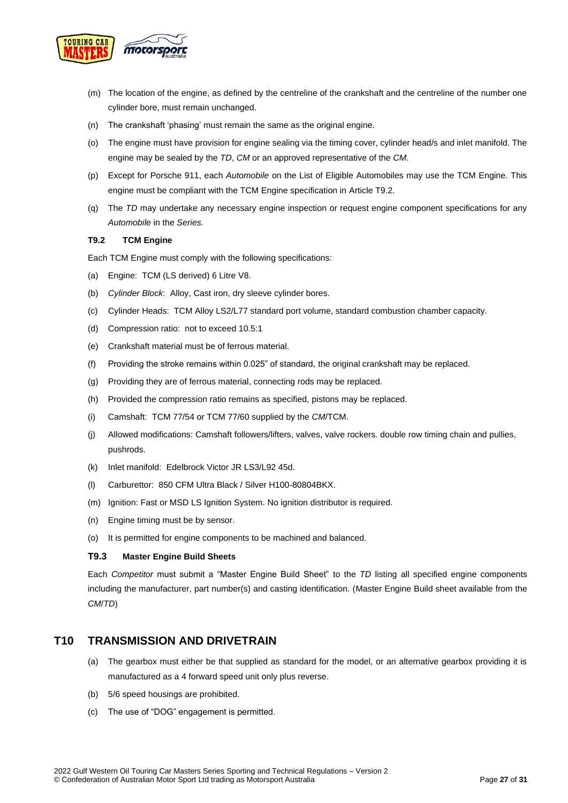

- (m) The location of the engine, as defined by the centreline of the crankshaft and the centreline of the number one cylinder bore, must remain unchanged.
- (n) The crankshaft 'phasing' must remain the same as the original engine.
- (o) The engine must have provision for engine sealing via the timing cover, cylinder head/s and inlet manifold. The engine may be sealed by the *TD*, *CM* or an approved representative of the *CM*.
- (p) Except for Porsche 911, each *Automobile* on the List of Eligible Automobiles may use the TCM Engine. This engine must be compliant with the TCM Engine specification in Article T9.2.
- (q) The *TD* may undertake any necessary engine inspection or request engine component specifications for any *Automobile* in the *Series.*

#### <span id="page-26-0"></span>**T9.2 TCM Engine**

Each TCM Engine must comply with the following specifications:

- (a) Engine: TCM (LS derived) 6 Litre V8.
- (b) *Cylinder Block*: Alloy, Cast iron, dry sleeve cylinder bores.
- (c) Cylinder Heads: TCM Alloy LS2/L77 standard port volume, standard combustion chamber capacity.
- (d) Compression ratio: not to exceed 10.5:1
- (e) Crankshaft material must be of ferrous material.
- (f) Providing the stroke remains within 0.025" of standard, the original crankshaft may be replaced.
- (g) Providing they are of ferrous material, connecting rods may be replaced.
- (h) Provided the compression ratio remains as specified, pistons may be replaced.
- (i) Camshaft: TCM 77/54 or TCM 77/60 supplied by the *CM*/TCM.
- (j) Allowed modifications: Camshaft followers/lifters, valves, valve rockers. double row timing chain and pullies, pushrods.
- (k) Inlet manifold: Edelbrock Victor JR LS3/L92 45d.
- (l) Carburettor: 850 CFM Ultra Black / Silver H100-80804BKX.
- (m) Ignition: Fast or MSD LS Ignition System. No ignition distributor is required.
- (n) Engine timing must be by sensor.
- (o) It is permitted for engine components to be machined and balanced.

#### <span id="page-26-1"></span>**T9.3 Master Engine Build Sheets**

Each *Competitor* must submit a "Master Engine Build Sheet" to the *TD* listing all specified engine components including the manufacturer, part number(s) and casting identification. (Master Engine Build sheet available from the *CM*/*TD*)

## <span id="page-26-2"></span>**T10 TRANSMISSION AND DRIVETRAIN**

- (a) The gearbox must either be that supplied as standard for the model, or an alternative gearbox providing it is manufactured as a 4 forward speed unit only plus reverse.
- (b) 5/6 speed housings are prohibited.
- (c) The use of "DOG" engagement is permitted.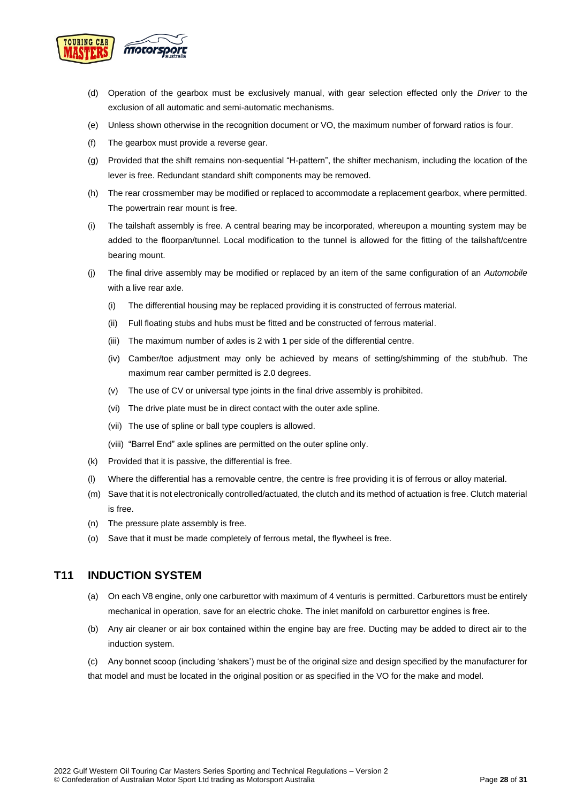

- (d) Operation of the gearbox must be exclusively manual, with gear selection effected only the *Driver* to the exclusion of all automatic and semi-automatic mechanisms.
- (e) Unless shown otherwise in the recognition document or VO, the maximum number of forward ratios is four.
- (f) The gearbox must provide a reverse gear.
- (g) Provided that the shift remains non-sequential "H-pattern", the shifter mechanism, including the location of the lever is free. Redundant standard shift components may be removed.
- (h) The rear crossmember may be modified or replaced to accommodate a replacement gearbox, where permitted. The powertrain rear mount is free.
- (i) The tailshaft assembly is free. A central bearing may be incorporated, whereupon a mounting system may be added to the floorpan/tunnel. Local modification to the tunnel is allowed for the fitting of the tailshaft/centre bearing mount.
- (j) The final drive assembly may be modified or replaced by an item of the same configuration of an *Automobile* with a live rear axle.
	- (i) The differential housing may be replaced providing it is constructed of ferrous material.
	- (ii) Full floating stubs and hubs must be fitted and be constructed of ferrous material.
	- (iii) The maximum number of axles is 2 with 1 per side of the differential centre.
	- (iv) Camber/toe adjustment may only be achieved by means of setting/shimming of the stub/hub. The maximum rear camber permitted is 2.0 degrees.
	- (v) The use of CV or universal type joints in the final drive assembly is prohibited.
	- (vi) The drive plate must be in direct contact with the outer axle spline.
	- (vii) The use of spline or ball type couplers is allowed.
	- (viii) "Barrel End" axle splines are permitted on the outer spline only.
- (k) Provided that it is passive, the differential is free.
- (l) Where the differential has a removable centre, the centre is free providing it is of ferrous or alloy material.
- (m) Save that it is not electronically controlled/actuated, the clutch and its method of actuation is free. Clutch material is free.
- (n) The pressure plate assembly is free.
- (o) Save that it must be made completely of ferrous metal, the flywheel is free.

## <span id="page-27-0"></span>**T11 INDUCTION SYSTEM**

- (a) On each V8 engine, only one carburettor with maximum of 4 venturis is permitted. Carburettors must be entirely mechanical in operation, save for an electric choke. The inlet manifold on carburettor engines is free.
- (b) Any air cleaner or air box contained within the engine bay are free. Ducting may be added to direct air to the induction system.

(c) Any bonnet scoop (including 'shakers') must be of the original size and design specified by the manufacturer for that model and must be located in the original position or as specified in the VO for the make and model.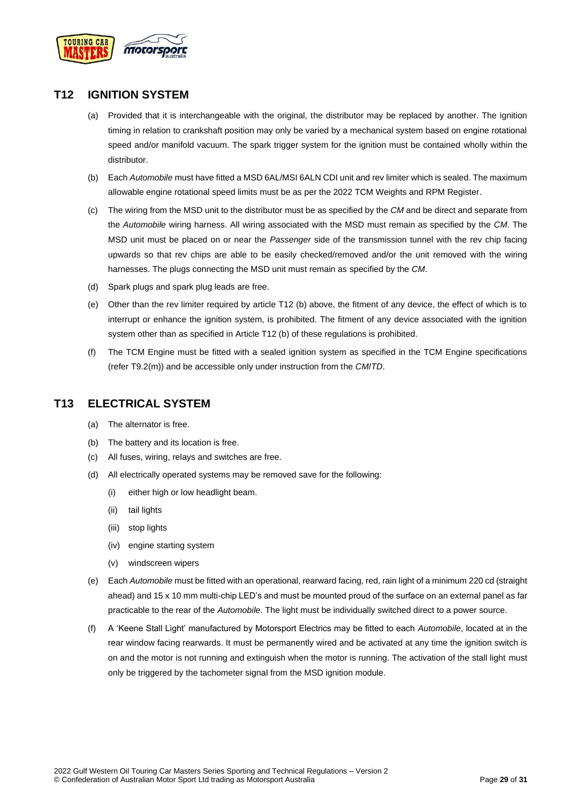

## <span id="page-28-0"></span>**T12 IGNITION SYSTEM**

- (a) Provided that it is interchangeable with the original, the distributor may be replaced by another. The ignition timing in relation to crankshaft position may only be varied by a mechanical system based on engine rotational speed and/or manifold vacuum. The spark trigger system for the ignition must be contained wholly within the distributor.
- (b) Each *Automobile* must have fitted a MSD 6AL/MSI 6ALN CDI unit and rev limiter which is sealed. The maximum allowable engine rotational speed limits must be as per the 2022 TCM Weights and RPM Register.
- (c) The wiring from the MSD unit to the distributor must be as specified by the *CM* and be direct and separate from the *Automobile* wiring harness. All wiring associated with the MSD must remain as specified by the *CM*. The MSD unit must be placed on or near the *Passenger* side of the transmission tunnel with the rev chip facing upwards so that rev chips are able to be easily checked/removed and/or the unit removed with the wiring harnesses. The plugs connecting the MSD unit must remain as specified by the *CM*.
- (d) Spark plugs and spark plug leads are free.
- (e) Other than the rev limiter required by article T12 (b) above, the fitment of any device, the effect of which is to interrupt or enhance the ignition system, is prohibited. The fitment of any device associated with the ignition system other than as specified in Article T12 (b) of these regulations is prohibited.
- (f) The TCM Engine must be fitted with a sealed ignition system as specified in the TCM Engine specifications (refer T9.2(m)) and be accessible only under instruction from the *CM*/*TD*.

## <span id="page-28-1"></span>**T13 ELECTRICAL SYSTEM**

- (a) The alternator is free.
- (b) The battery and its location is free.
- (c) All fuses, wiring, relays and switches are free.
- (d) All electrically operated systems may be removed save for the following:
	- (i) either high or low headlight beam.
	- (ii) tail lights
	- (iii) stop lights
	- (iv) engine starting system
	- (v) windscreen wipers
- (e) Each *Automobile* must be fitted with an operational, rearward facing, red, rain light of a minimum 220 cd (straight ahead) and 15 x 10 mm multi-chip LED's and must be mounted proud of the surface on an external panel as far practicable to the rear of the *Automobile*. The light must be individually switched direct to a power source.
- (f) A 'Keene Stall Light' manufactured by Motorsport Electrics may be fitted to each *Automobile*, located at in the rear window facing rearwards. It must be permanently wired and be activated at any time the ignition switch is on and the motor is not running and extinguish when the motor is running. The activation of the stall light must only be triggered by the tachometer signal from the MSD ignition module.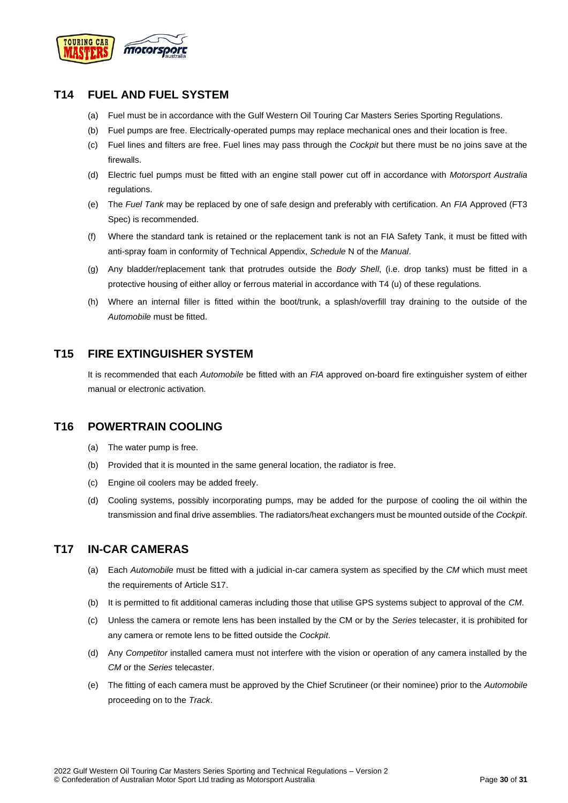

## <span id="page-29-0"></span>**T14 FUEL AND FUEL SYSTEM**

- (a) Fuel must be in accordance with the Gulf Western Oil Touring Car Masters Series Sporting Regulations.
- (b) Fuel pumps are free. Electrically-operated pumps may replace mechanical ones and their location is free.
- (c) Fuel lines and filters are free. Fuel lines may pass through the *Cockpit* but there must be no joins save at the firewalls.
- (d) Electric fuel pumps must be fitted with an engine stall power cut off in accordance with *Motorsport Australia* regulations.
- (e) The *Fuel Tank* may be replaced by one of safe design and preferably with certification. An *FIA* Approved (FT3 Spec) is recommended.
- (f) Where the standard tank is retained or the replacement tank is not an FIA Safety Tank, it must be fitted with anti-spray foam in conformity of Technical Appendix, *Schedule* N of the *Manual*.
- (g) Any bladder/replacement tank that protrudes outside the *Body Shell*, (i.e. drop tanks) must be fitted in a protective housing of either alloy or ferrous material in accordance with T4 (u) of these regulations.
- (h) Where an internal filler is fitted within the boot/trunk, a splash/overfill tray draining to the outside of the *Automobile* must be fitted.

## <span id="page-29-1"></span>**T15 FIRE EXTINGUISHER SYSTEM**

It is recommended that each *Automobile* be fitted with an *FIA* approved on-board fire extinguisher system of either manual or electronic activation.

## <span id="page-29-2"></span>**T16 POWERTRAIN COOLING**

- (a) The water pump is free.
- (b) Provided that it is mounted in the same general location, the radiator is free.
- (c) Engine oil coolers may be added freely.
- (d) Cooling systems, possibly incorporating pumps, may be added for the purpose of cooling the oil within the transmission and final drive assemblies. The radiators/heat exchangers must be mounted outside of the *Cockpit*.

## <span id="page-29-3"></span>**T17 IN-CAR CAMERAS**

- (a) Each *Automobile* must be fitted with a judicial in-car camera system as specified by the *CM* which must meet the requirements of Article S17.
- (b) It is permitted to fit additional cameras including those that utilise GPS systems subject to approval of the *CM*.
- (c) Unless the camera or remote lens has been installed by the CM or by the *Series* telecaster, it is prohibited for any camera or remote lens to be fitted outside the *Cockpit*.
- (d) Any *Competitor* installed camera must not interfere with the vision or operation of any camera installed by the *CM* or the *Series* telecaster.
- (e) The fitting of each camera must be approved by the Chief Scrutineer (or their nominee) prior to the *Automobile* proceeding on to the *Track*.